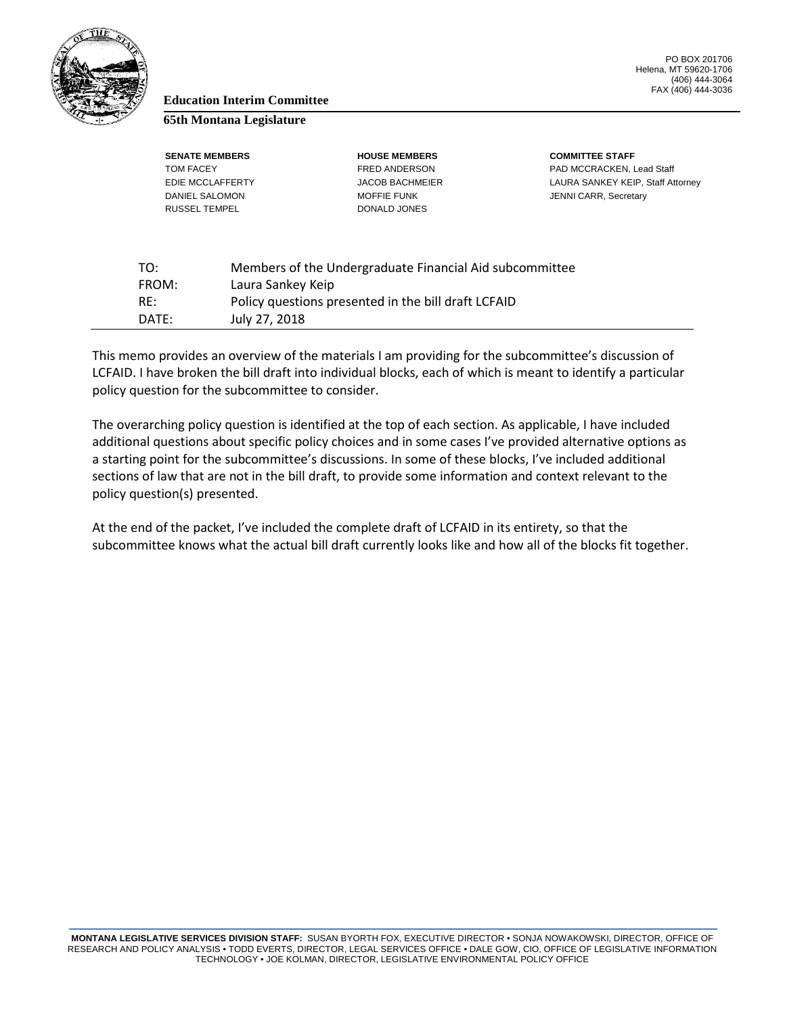

### **Education Interim Committee**

### **65th Montana Legislature**

RUSSEL TEMPEL DONALD JONES

**SENATE MEMBERS HOUSE MEMBERS COMMITTEE STAFF** TOM FACEY FRED ANDERSON FRED ANDERSON PAD MCCRACKEN, Lead Staff EDIE MCCLAFFERTY **STATE SEE ATTES** JACOB BACHMEIER **LAURA SANKEY KEIP, Staff Attorney** DANIEL SALOMON MOFFIE FUNK JENNI CARR, Secretary

| TO:   | Members of the Undergraduate Financial Aid subcommittee |
|-------|---------------------------------------------------------|
| FROM: | Laura Sankey Keip                                       |
| RF:   | Policy questions presented in the bill draft LCFAID     |
| DATF: | July 27, 2018                                           |

This memo provides an overview of the materials I am providing for the subcommittee's discussion of LCFAID. I have broken the bill draft into individual blocks, each of which is meant to identify a particular policy question for the subcommittee to consider.

The overarching policy question is identified at the top of each section. As applicable, I have included additional questions about specific policy choices and in some cases I've provided alternative options as a starting point for the subcommittee's discussions. In some of these blocks, I've included additional sections of law that are not in the bill draft, to provide some information and context relevant to the policy question(s) presented.

At the end of the packet, I've included the complete draft of LCFAID in its entirety, so that the subcommittee knows what the actual bill draft currently looks like and how all of the blocks fit together.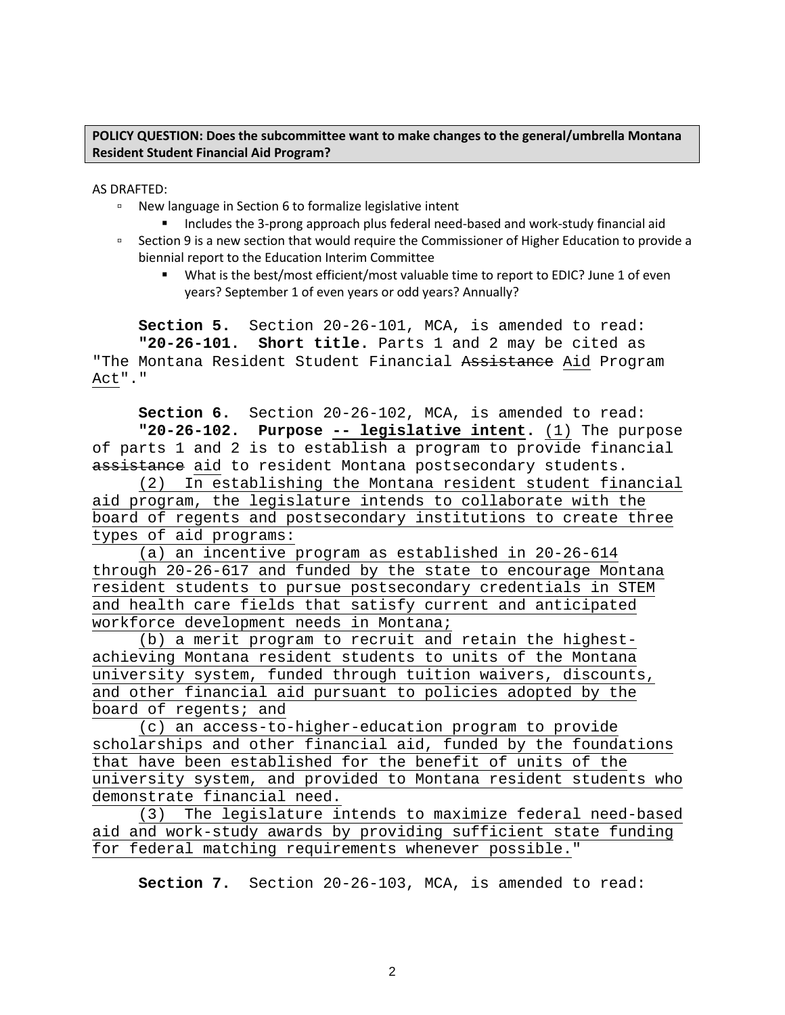### **POLICY QUESTION: Does the subcommittee want to make changes to the general/umbrella Montana Resident Student Financial Aid Program?**

AS DRAFTED:

- New language in Section 6 to formalize legislative intent
	- Includes the 3-prong approach plus federal need-based and work-study financial aid
- Section 9 is a new section that would require the Commissioner of Higher Education to provide a biennial report to the Education Interim Committee
	- What is the best/most efficient/most valuable time to report to EDIC? June 1 of even years? September 1 of even years or odd years? Annually?

**Section 5.** Section 20-26-101, MCA, is amended to read: **"20-26-101. Short title.** Parts 1 and 2 may be cited as "The Montana Resident Student Financial <del>Assistance</del> Aid Program Act"."

**Section 6.** Section 20-26-102, MCA, is amended to read: **"20-26-102. Purpose -- legislative intent.** (1) The purpose of parts 1 and 2 is to establish a program to provide financial assistance aid to resident Montana postsecondary students.

(2) In establishing the Montana resident student financial aid program, the legislature intends to collaborate with the board of regents and postsecondary institutions to create three types of aid programs:

(a) an incentive program as established in 20-26-614 through 20-26-617 and funded by the state to encourage Montana resident students to pursue postsecondary credentials in STEM and health care fields that satisfy current and anticipated workforce development needs in Montana;

(b) a merit program to recruit and retain the highestachieving Montana resident students to units of the Montana university system, funded through tuition waivers, discounts, and other financial aid pursuant to policies adopted by the board of regents; and

(c) an access-to-higher-education program to provide scholarships and other financial aid, funded by the foundations that have been established for the benefit of units of the university system, and provided to Montana resident students who demonstrate financial need.

(3) The legislature intends to maximize federal need-based aid and work-study awards by providing sufficient state funding for federal matching requirements whenever possible."

**Section 7.** Section 20-26-103, MCA, is amended to read: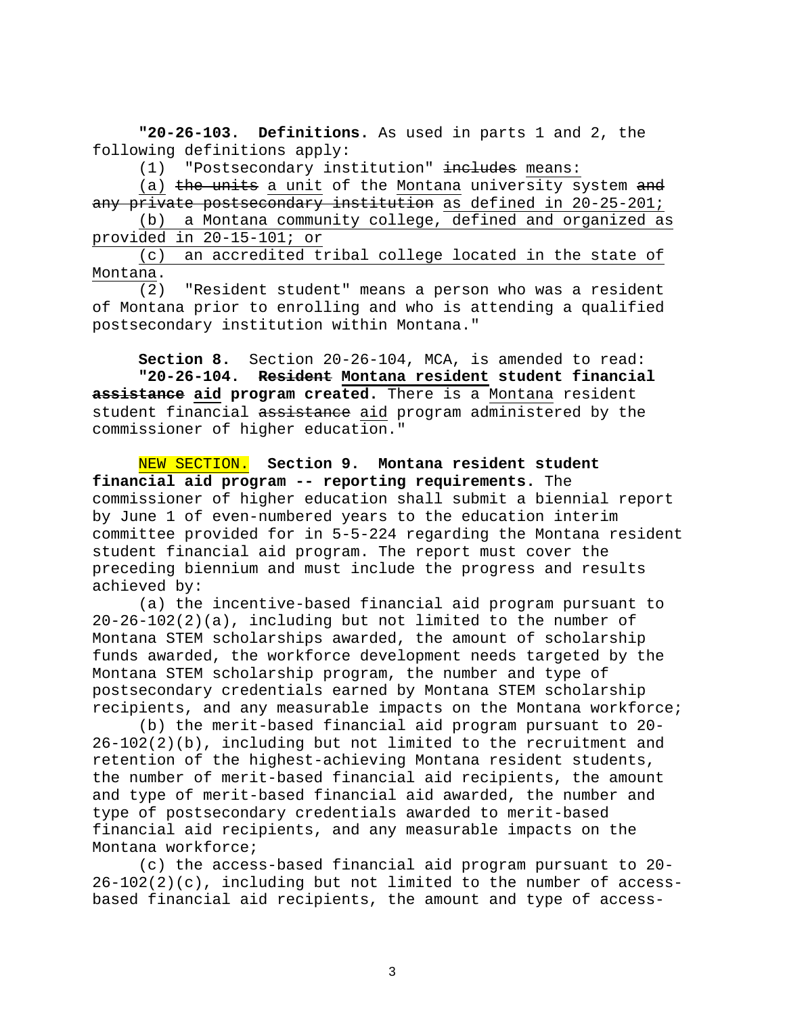**"20-26-103. Definitions.** As used in parts 1 and 2, the following definitions apply:<br>(1) "Postsecondary ins

"Postsecondary institution" includes means:

(a) the units a unit of the Montana university system and any private postsecondary institution as defined in 20-25-201;

(b) a Montana community college, defined and organized as provided in 20-15-101; or

(c) an accredited tribal college located in the state of Montana.<br> $(2)$ 

"Resident student" means a person who was a resident of Montana prior to enrolling and who is attending a qualified postsecondary institution within Montana."

**Section 8.** Section 20-26-104, MCA, is amended to read: **"20-26-104. Resident Montana resident student financial assistance aid program created.** There is a Montana resident student financial assistance aid program administered by the commissioner of higher education."

NEW SECTION. **Section 9. Montana resident student financial aid program -- reporting requirements.** The commissioner of higher education shall submit a biennial report by June 1 of even-numbered years to the education interim committee provided for in 5-5-224 regarding the Montana resident student financial aid program. The report must cover the preceding biennium and must include the progress and results achieved by:

(a) the incentive-based financial aid program pursuant to  $20-26-102(2)(a)$ , including but not limited to the number of Montana STEM scholarships awarded, the amount of scholarship funds awarded, the workforce development needs targeted by the Montana STEM scholarship program, the number and type of postsecondary credentials earned by Montana STEM scholarship recipients, and any measurable impacts on the Montana workforce;

(b) the merit-based financial aid program pursuant to 20- 26-102(2)(b), including but not limited to the recruitment and retention of the highest-achieving Montana resident students, the number of merit-based financial aid recipients, the amount and type of merit-based financial aid awarded, the number and type of postsecondary credentials awarded to merit-based financial aid recipients, and any measurable impacts on the Montana workforce;

(c) the access-based financial aid program pursuant to 20-  $26-102(2)(c)$ , including but not limited to the number of accessbased financial aid recipients, the amount and type of access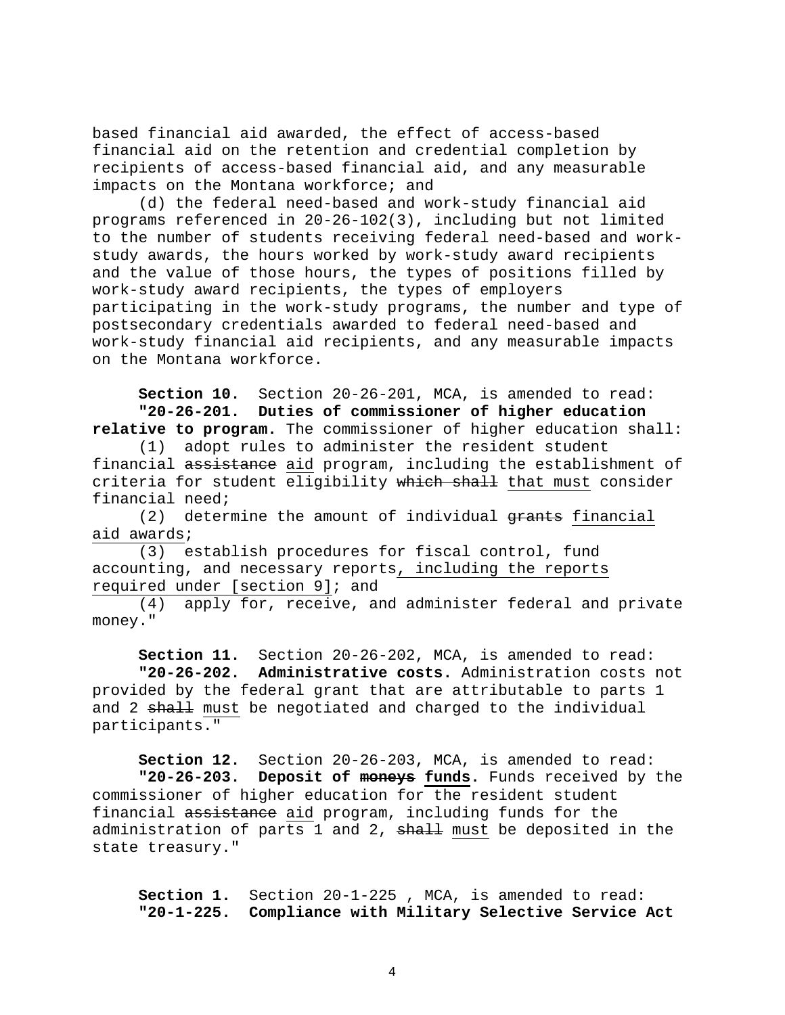based financial aid awarded, the effect of access-based financial aid on the retention and credential completion by recipients of access-based financial aid, and any measurable impacts on the Montana workforce; and

(d) the federal need-based and work-study financial aid programs referenced in 20-26-102(3), including but not limited to the number of students receiving federal need-based and workstudy awards, the hours worked by work-study award recipients and the value of those hours, the types of positions filled by work-study award recipients, the types of employers participating in the work-study programs, the number and type of postsecondary credentials awarded to federal need-based and work-study financial aid recipients, and any measurable impacts on the Montana workforce.

**Section 10.** Section 20-26-201, MCA, is amended to read: **"20-26-201. Duties of commissioner of higher education relative to program.** The commissioner of higher education shall:

(1) adopt rules to administer the resident student financial assistance aid program, including the establishment of criteria for student eligibility which shall that must consider financial need;

 $(2)$  determine the amount of individual grants financial aid awards;

(3) establish procedures for fiscal control, fund accounting, and necessary reports, including the reports required under [section 9]; and

(4) apply for, receive, and administer federal and private money."

**Section 11.** Section 20-26-202, MCA, is amended to read: **"20-26-202. Administrative costs.** Administration costs not provided by the federal grant that are attributable to parts 1 and 2 shall must be negotiated and charged to the individual participants."

**Section 12.** Section 20-26-203, MCA, is amended to read: **"20-26-203. Deposit of moneys funds.** Funds received by the commissioner of higher education for the resident student financial assistance aid program, including funds for the administration of parts 1 and 2, shall must be deposited in the state treasury."

**Section 1.** Section 20-1-225 , MCA, is amended to read: **"20-1-225. Compliance with Military Selective Service Act**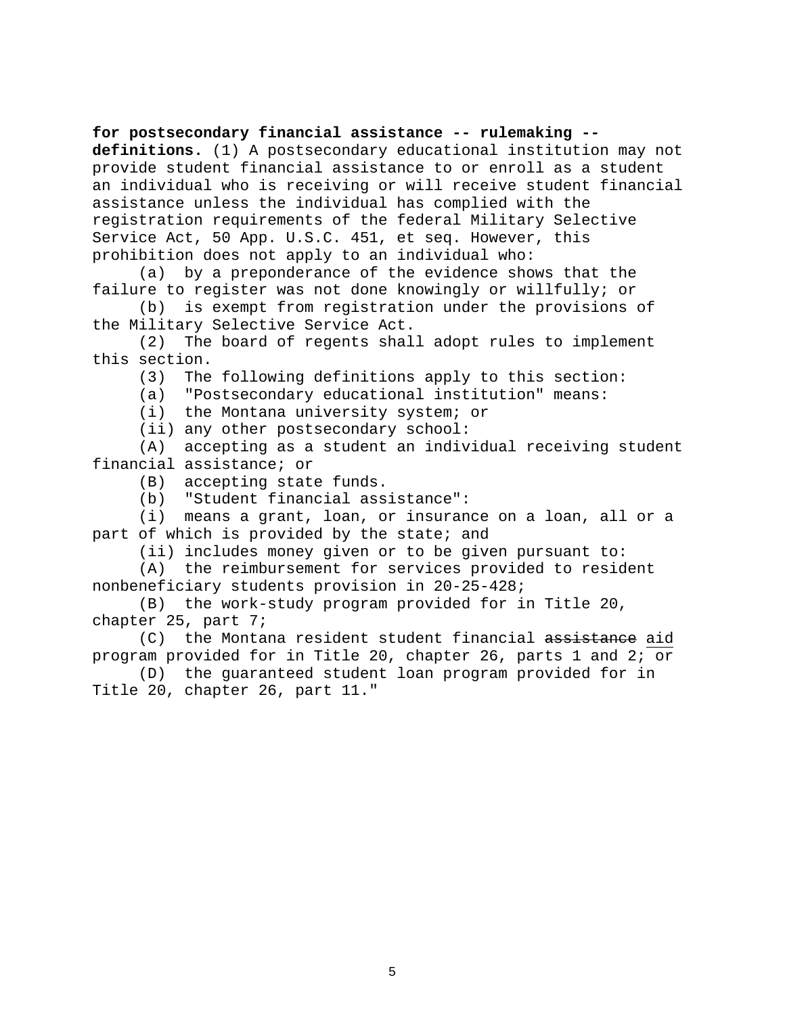### **for postsecondary financial assistance -- rulemaking --**

**definitions.** (1) A postsecondary educational institution may not provide student financial assistance to or enroll as a student an individual who is receiving or will receive student financial assistance unless the individual has complied with the registration requirements of the federal Military Selective Service Act, 50 App. U.S.C. 451, et seq. However, this prohibition does not apply to an individual who:

(a) by a preponderance of the evidence shows that the failure to register was not done knowingly or willfully; or

(b) is exempt from registration under the provisions of the Military Selective Service Act.

(2) The board of regents shall adopt rules to implement this section.

(3) The following definitions apply to this section:

(a) "Postsecondary educational institution" means:

(i) the Montana university system; or

(ii) any other postsecondary school:

(A) accepting as a student an individual receiving student financial assistance; or

(B) accepting state funds.

(b) "Student financial assistance":

(i) means a grant, loan, or insurance on a loan, all or a part of which is provided by the state; and

(ii) includes money given or to be given pursuant to:

(A) the reimbursement for services provided to resident nonbeneficiary students provision in 20-25-428;

(B) the work-study program provided for in Title 20, chapter 25, part 7;

(C) the Montana resident student financial assistance aid program provided for in Title 20, chapter 26, parts 1 and 2; or

(D) the guaranteed student loan program provided for in Title 20, chapter 26, part 11."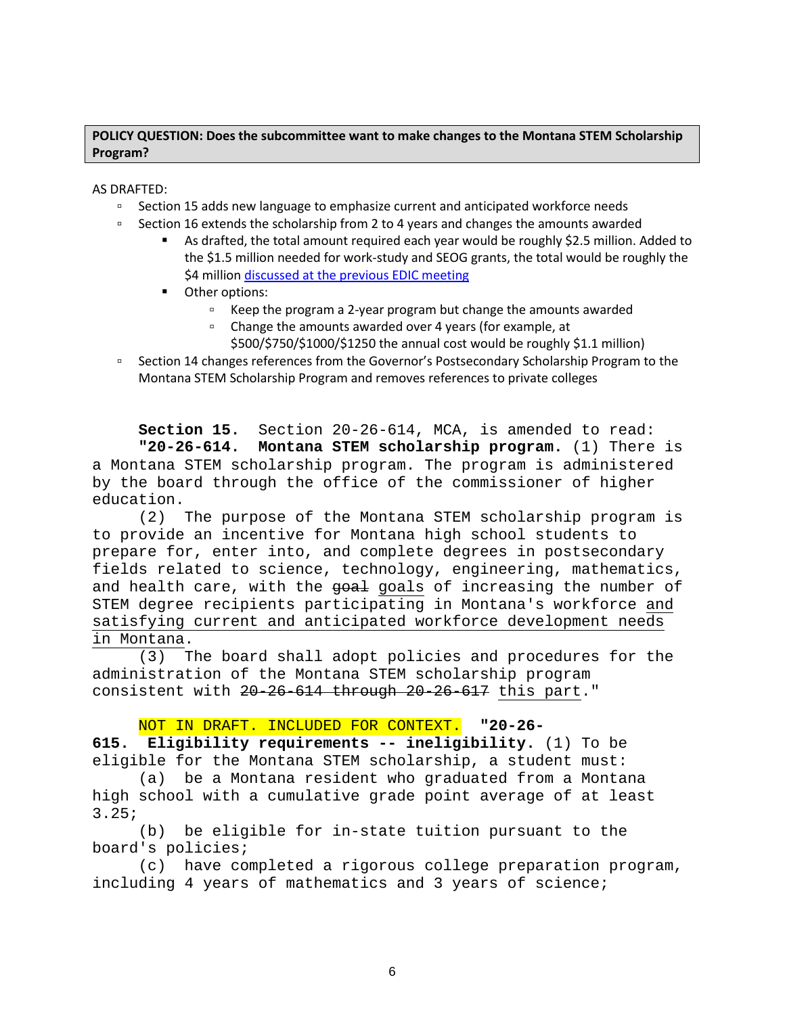### **POLICY QUESTION: Does the subcommittee want to make changes to the Montana STEM Scholarship Program?**

AS DRAFTED:

- Section 15 adds new language to emphasize current and anticipated workforce needs
- Section 16 extends the scholarship from 2 to 4 years and changes the amounts awarded
	- As drafted, the total amount required each year would be roughly \$2.5 million. Added to the \$1.5 million needed for work-study and SEOG grants, the total would be roughly the \$4 millio[n discussed at the previous EDIC meeting](https://leg.mt.gov/content/Committees/Interim/2017-2018/Education/Meetings/June-2018/Fin%20Aid%20Subcommittee%20memo.pdf)
	- **•** Other options:
		- Keep the program a 2-year program but change the amounts awarded
		- Change the amounts awarded over 4 years (for example, at
		- \$500/\$750/\$1000/\$1250 the annual cost would be roughly \$1.1 million)
- Section 14 changes references from the Governor's Postsecondary Scholarship Program to the Montana STEM Scholarship Program and removes references to private colleges

**Section 15.** Section 20-26-614, MCA, is amended to read:<br>"20-26-614. Montana STEM scholarship program. (1) There **Montana STEM scholarship program.** (1) There is a Montana STEM scholarship program. The program is administered by the board through the office of the commissioner of higher education.

(2) The purpose of the Montana STEM scholarship program is to provide an incentive for Montana high school students to prepare for, enter into, and complete degrees in postsecondary fields related to science, technology, engineering, mathematics, and health care, with the goal goals of increasing the number of STEM degree recipients participating in Montana's workforce and satisfying current and anticipated workforce development needs  $\frac{\text{in Montana}}{(3)}$ .

The board shall adopt policies and procedures for the administration of the Montana STEM scholarship program consistent with 20-26-614 through 20-26-617 this part."

### NOT IN DRAFT. INCLUDED FOR CONTEXT. **"20-26-**

**615. Eligibility requirements -- ineligibility.** (1) To be eligible for the Montana STEM scholarship, a student must:

(a) be a Montana resident who graduated from a Montana high school with a cumulative grade point average of at least 3.25;

(b) be eligible for in-state tuition pursuant to the board's policies;

(c) have completed a rigorous college preparation program, including 4 years of mathematics and 3 years of science;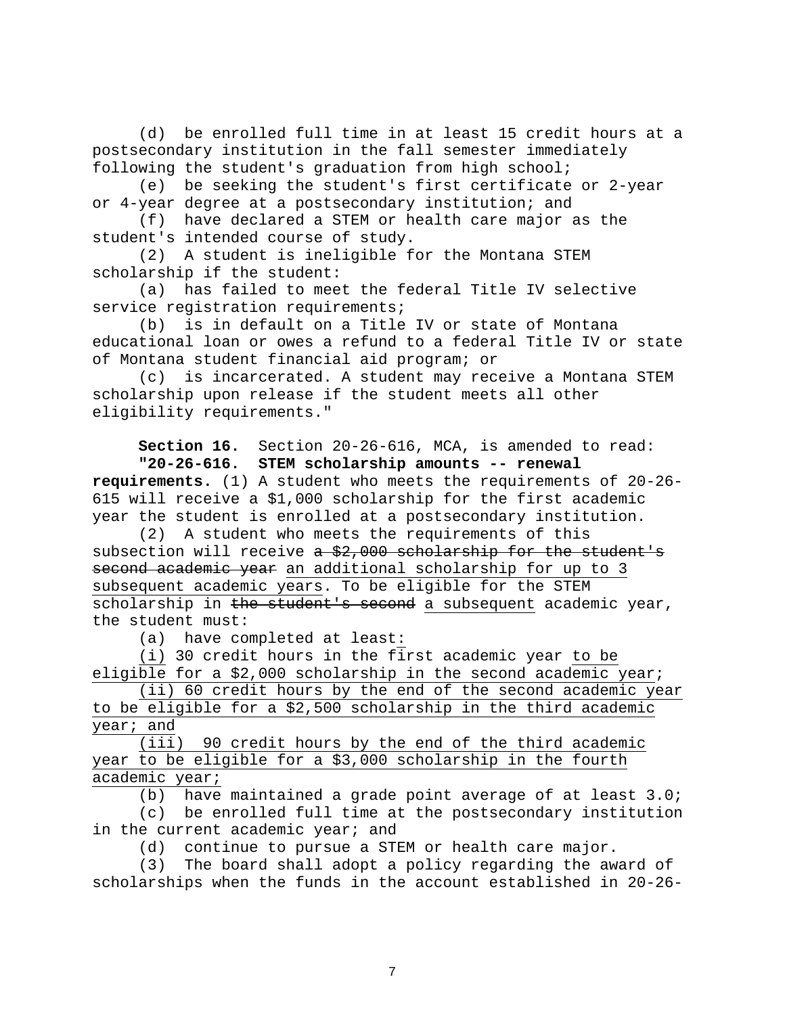(d) be enrolled full time in at least 15 credit hours at a postsecondary institution in the fall semester immediately following the student's graduation from high school;

(e) be seeking the student's first certificate or 2-year or 4-year degree at a postsecondary institution; and

(f) have declared a STEM or health care major as the student's intended course of study.

(2) A student is ineligible for the Montana STEM scholarship if the student:

(a) has failed to meet the federal Title IV selective service registration requirements;<br>(b) is in default on a Title

is in default on a Title IV or state of Montana educational loan or owes a refund to a federal Title IV or state of Montana student financial aid program; or

(c) is incarcerated. A student may receive a Montana STEM scholarship upon release if the student meets all other eligibility requirements."

**Section 16.** Section 20-26-616, MCA, is amended to read: **"20-26-616. STEM scholarship amounts -- renewal** 

**requirements.** (1) A student who meets the requirements of 20-26- 615 will receive a \$1,000 scholarship for the first academic year the student is enrolled at a postsecondary institution.

(2) A student who meets the requirements of this subsection will receive  $a$   $\frac{2}{3}$ , 000 scholarship for the student's second academic year an additional scholarship for up to 3 subsequent academic years. To be eligible for the STEM scholarship in the student's second a subsequent academic year, the student must:

(a) have completed at least:

(i) 30 credit hours in the first academic year to be eligible for a \$2,000 scholarship in the second academic year;

(ii) 60 credit hours by the end of the second academic year to be eligible for a \$2,500 scholarship in the third academic year; and

(iii) 90 credit hours by the end of the third academic year to be eligible for a \$3,000 scholarship in the fourth academic year;

(b) have maintained a grade point average of at least 3.0;

(c) be enrolled full time at the postsecondary institution in the current academic year; and

(d) continue to pursue a STEM or health care major.<br>(3) The board shall adopt a policy regarding the aw

The board shall adopt a policy regarding the award of scholarships when the funds in the account established in 20-26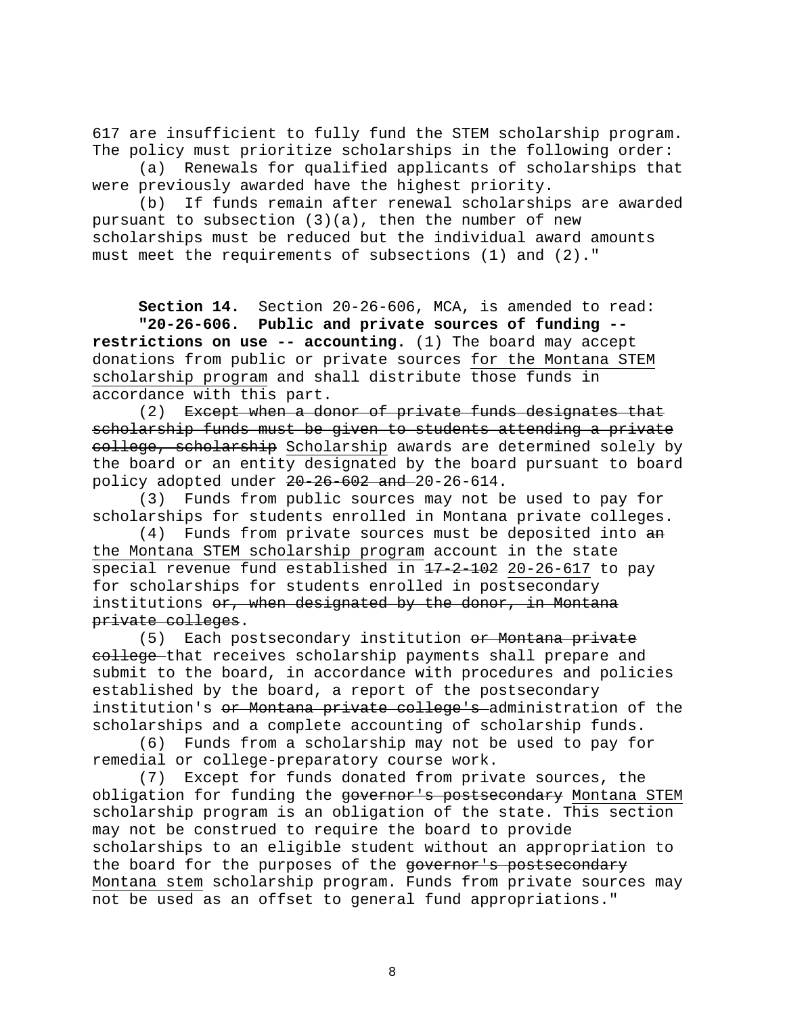617 are insufficient to fully fund the STEM scholarship program. The policy must prioritize scholarships in the following order:

(a) Renewals for qualified applicants of scholarships that were previously awarded have the highest priority.<br>(b) If funds remain after renewal scholarshi

If funds remain after renewal scholarships are awarded pursuant to subsection  $(3)(a)$ , then the number of new scholarships must be reduced but the individual award amounts must meet the requirements of subsections (1) and (2)."

Section 14. Section 20-26-606, MCA, is amended to read:<br>"20-26-606. Public and private sources of funding --Public and private sources of funding -**restrictions on use -- accounting.** (1) The board may accept donations from public or private sources for the Montana STEM scholarship program and shall distribute those funds in accordance with this part.

(2) Except when a donor of private funds designates that scholarship funds must be given to students attending a private college, scholarship Scholarship awards are determined solely by the board or an entity designated by the board pursuant to board policy adopted under  $20-26-602$  and  $20-26-614$ .

(3) Funds from public sources may not be used to pay for scholarships for students enrolled in Montana private colleges.

 $(4)$  Funds from private sources must be deposited into  $a$ n the Montana STEM scholarship program account in the state special revenue fund established in 17-2-102 20-26-617 to pay for scholarships for students enrolled in postsecondary institutions or, when designated by the donor, in Montana private colleges.

(5) Each postsecondary institution or Montana private college that receives scholarship payments shall prepare and submit to the board, in accordance with procedures and policies established by the board, a report of the postsecondary institution's <del>or Montana private college's a</del>dministration of the scholarships and a complete accounting of scholarship funds.

(6) Funds from a scholarship may not be used to pay for remedial or college-preparatory course work.

(7) Except for funds donated from private sources, the obligation for funding the governor's postsecondary Montana STEM scholarship program is an obligation of the state. This section may not be construed to require the board to provide scholarships to an eligible student without an appropriation to the board for the purposes of the governor's postsecondary Montana stem scholarship program. Funds from private sources may not be used as an offset to general fund appropriations."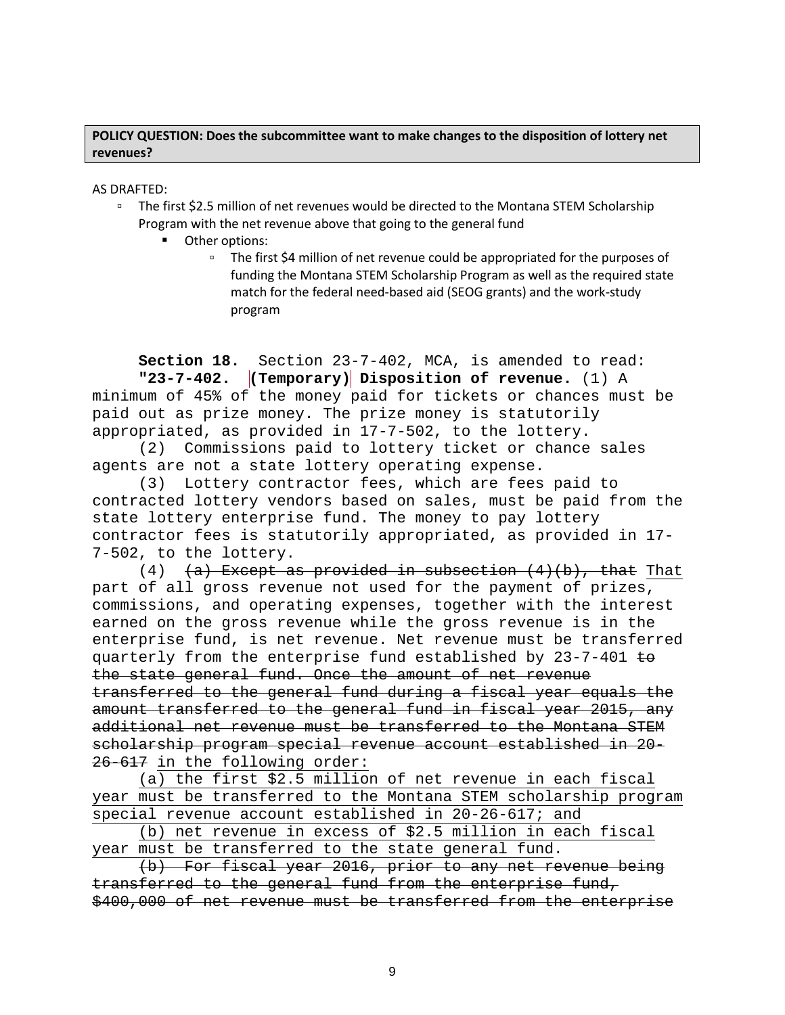### **POLICY QUESTION: Does the subcommittee want to make changes to the disposition of lottery net revenues?**

AS DRAFTED:

- The first \$2.5 million of net revenues would be directed to the Montana STEM Scholarship Program with the net revenue above that going to the general fund
	- Other options:
		- The first \$4 million of net revenue could be appropriated for the purposes of funding the Montana STEM Scholarship Program as well as the required state match for the federal need-based aid (SEOG grants) and the work-study program

**Section 18.** Section 23-7-402, MCA, is amended to read: **"23-7-402. (Temporary) Disposition of revenue.** (1) A minimum of 45% of the money paid for tickets or chances must be paid out as prize money. The prize money is statutorily appropriated, as provided in 17-7-502, to the lottery.

(2) Commissions paid to lottery ticket or chance sales agents are not a state lottery operating expense.

(3) Lottery contractor fees, which are fees paid to contracted lottery vendors based on sales, must be paid from the state lottery enterprise fund. The money to pay lottery contractor fees is statutorily appropriated, as provided in 17- 7-502, to the lottery.

(4)  $(a)$  Except as provided in subsection  $(4)(b)$ , that That part of all gross revenue not used for the payment of prizes, commissions, and operating expenses, together with the interest earned on the gross revenue while the gross revenue is in the enterprise fund, is net revenue. Net revenue must be transferred quarterly from the enterprise fund established by  $23-7-401$  to the state general fund. Once the amount of net revenue transferred to the general fund during a fiscal year equals the amount transferred to the general fund in fiscal year 2015, any additional net revenue must be transferred to the Montana STEM scholarship program special revenue account established in 20- 26-617 in the following order:

(a) the first \$2.5 million of net revenue in each fiscal year must be transferred to the Montana STEM scholarship program special revenue account established in 20-26-617; and

(b) net revenue in excess of \$2.5 million in each fiscal year must be transferred to the state general fund.

(b) For fiscal year 2016, prior to any net revenue being transferred to the general fund from the enterprise fund, \$400,000 of net revenue must be transferred from the enterprise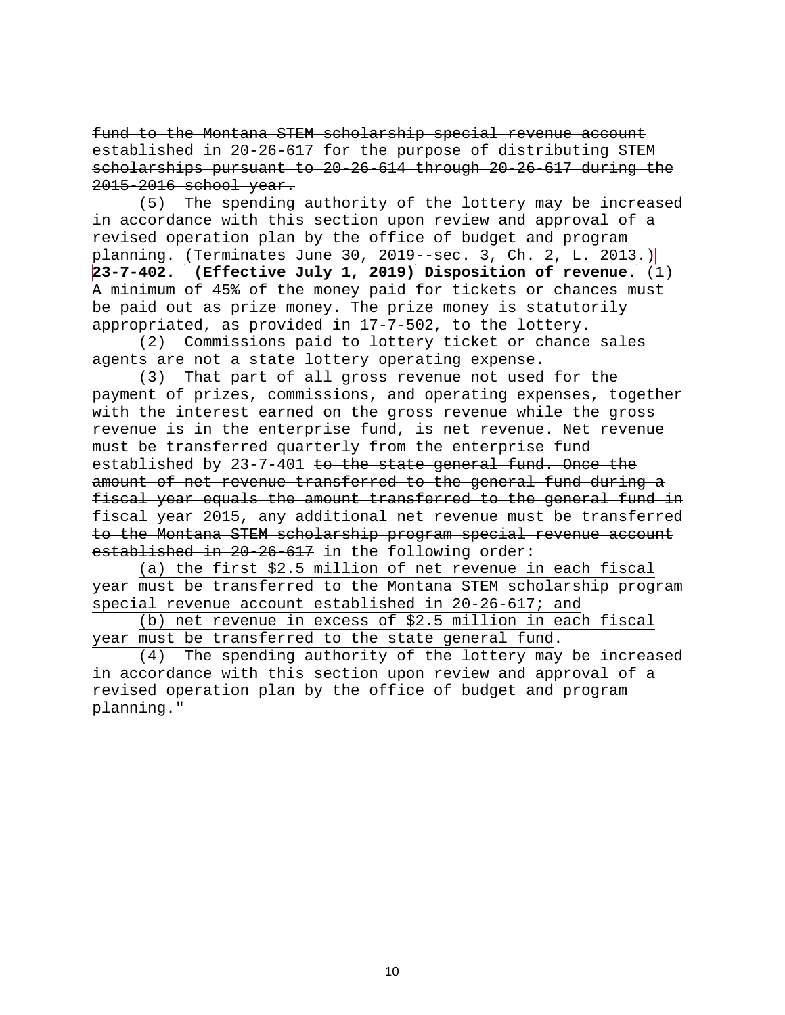fund to the Montana STEM scholarship special revenue account established in 20-26-617 for the purpose of distributing STEM scholarships pursuant to 20-26-614 through 20-26-617 during the 2015-2016 school year.

(5) The spending authority of the lottery may be increased in accordance with this section upon review and approval of a revised operation plan by the office of budget and program planning. (Terminates June 30, 2019--sec. 3, Ch. 2, L. 2013.) **23-7-402. (Effective July 1, 2019) Disposition of revenue.** (1) A minimum of 45% of the money paid for tickets or chances must be paid out as prize money. The prize money is statutorily appropriated, as provided in 17-7-502, to the lottery.

(2) Commissions paid to lottery ticket or chance sales agents are not a state lottery operating expense.

(3) That part of all gross revenue not used for the payment of prizes, commissions, and operating expenses, together with the interest earned on the gross revenue while the gross revenue is in the enterprise fund, is net revenue. Net revenue must be transferred quarterly from the enterprise fund established by 23-7-401 to the state general fund. Once the amount of net revenue transferred to the general fund during a fiscal year equals the amount transferred to the general fund in fiscal year 2015, any additional net revenue must be transferred to the Montana STEM scholarship program special revenue account established in 20-26-617 in the following order:

(a) the first \$2.5 million of net revenue in each fiscal year must be transferred to the Montana STEM scholarship program special revenue account established in 20-26-617; and

(b) net revenue in excess of \$2.5 million in each fiscal year must be transferred to the state general fund.

(4) The spending authority of the lottery may be increased in accordance with this section upon review and approval of a revised operation plan by the office of budget and program planning."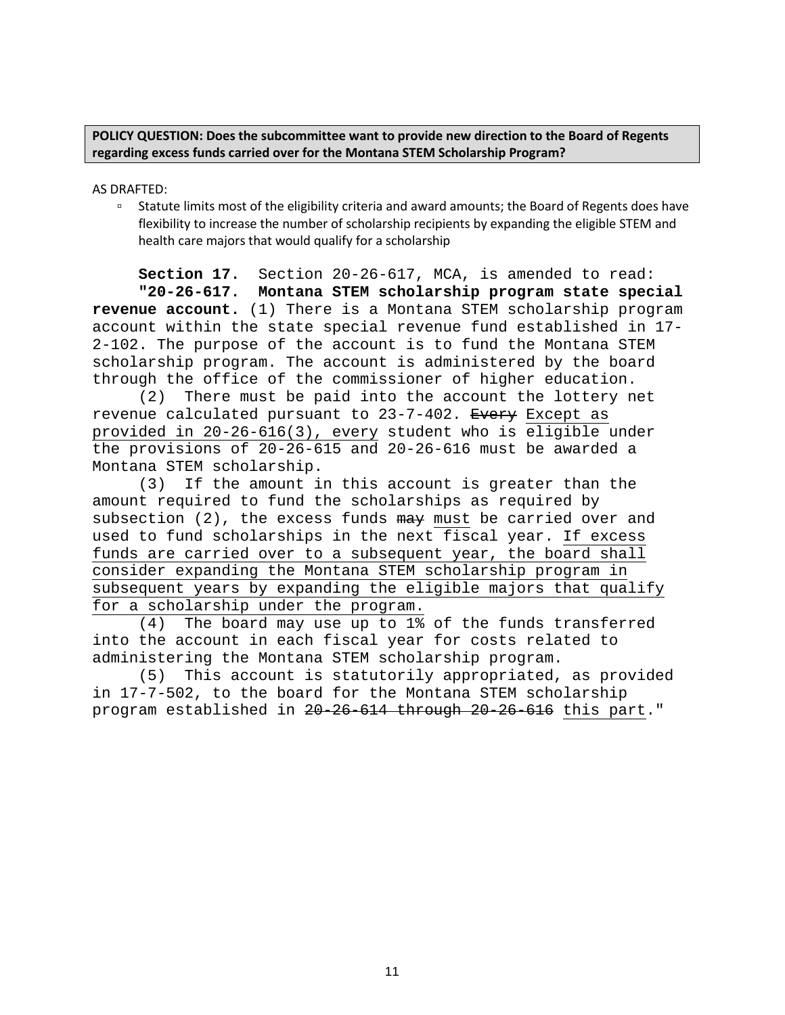**POLICY QUESTION: Does the subcommittee want to provide new direction to the Board of Regents regarding excess funds carried over for the Montana STEM Scholarship Program?**

AS DRAFTED:

□ Statute limits most of the eligibility criteria and award amounts; the Board of Regents does have flexibility to increase the number of scholarship recipients by expanding the eligible STEM and health care majors that would qualify for a scholarship

**Section 17.** Section 20-26-617, MCA, is amended to read: **"20-26-617. Montana STEM scholarship program state special revenue account.** (1) There is a Montana STEM scholarship program account within the state special revenue fund established in 17- 2-102. The purpose of the account is to fund the Montana STEM scholarship program. The account is administered by the board through the office of the commissioner of higher education.

(2) There must be paid into the account the lottery net revenue calculated pursuant to 23-7-402. Every Except as provided in 20-26-616(3), every student who is eligible under the provisions of 20-26-615 and 20-26-616 must be awarded a Montana STEM scholarship.

(3) If the amount in this account is greater than the amount required to fund the scholarships as required by subsection  $(2)$ , the excess funds  $\frac{m}{x}$  must be carried over and used to fund scholarships in the next fiscal year. If excess funds are carried over to a subsequent year, the board shall consider expanding the Montana STEM scholarship program in subsequent years by expanding the eligible majors that qualify for a scholarship under the program.

(4) The board may use up to 1% of the funds transferred into the account in each fiscal year for costs related to administering the Montana STEM scholarship program.

(5) This account is statutorily appropriated, as provided in 17-7-502, to the board for the Montana STEM scholarship program established in 20-26-614 through 20-26-616 this part."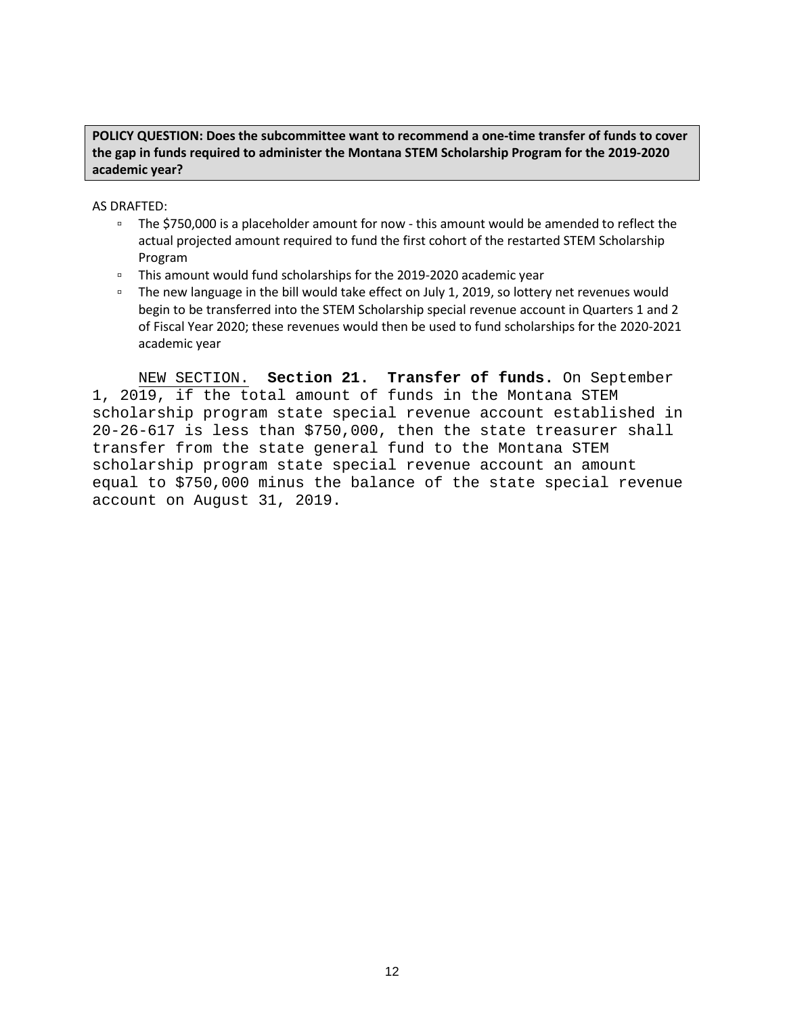### **POLICY QUESTION: Does the subcommittee want to recommend a one-time transfer of funds to cover the gap in funds required to administer the Montana STEM Scholarship Program for the 2019-2020 academic year?**

AS DRAFTED:

- The \$750,000 is a placeholder amount for now this amount would be amended to reflect the actual projected amount required to fund the first cohort of the restarted STEM Scholarship Program
- This amount would fund scholarships for the 2019-2020 academic year
- The new language in the bill would take effect on July 1, 2019, so lottery net revenues would begin to be transferred into the STEM Scholarship special revenue account in Quarters 1 and 2 of Fiscal Year 2020; these revenues would then be used to fund scholarships for the 2020-2021 academic year

NEW SECTION. **Section 21. Transfer of funds.** On September 1, 2019, if the total amount of funds in the Montana STEM scholarship program state special revenue account established in 20-26-617 is less than \$750,000, then the state treasurer shall transfer from the state general fund to the Montana STEM scholarship program state special revenue account an amount equal to \$750,000 minus the balance of the state special revenue account on August 31, 2019.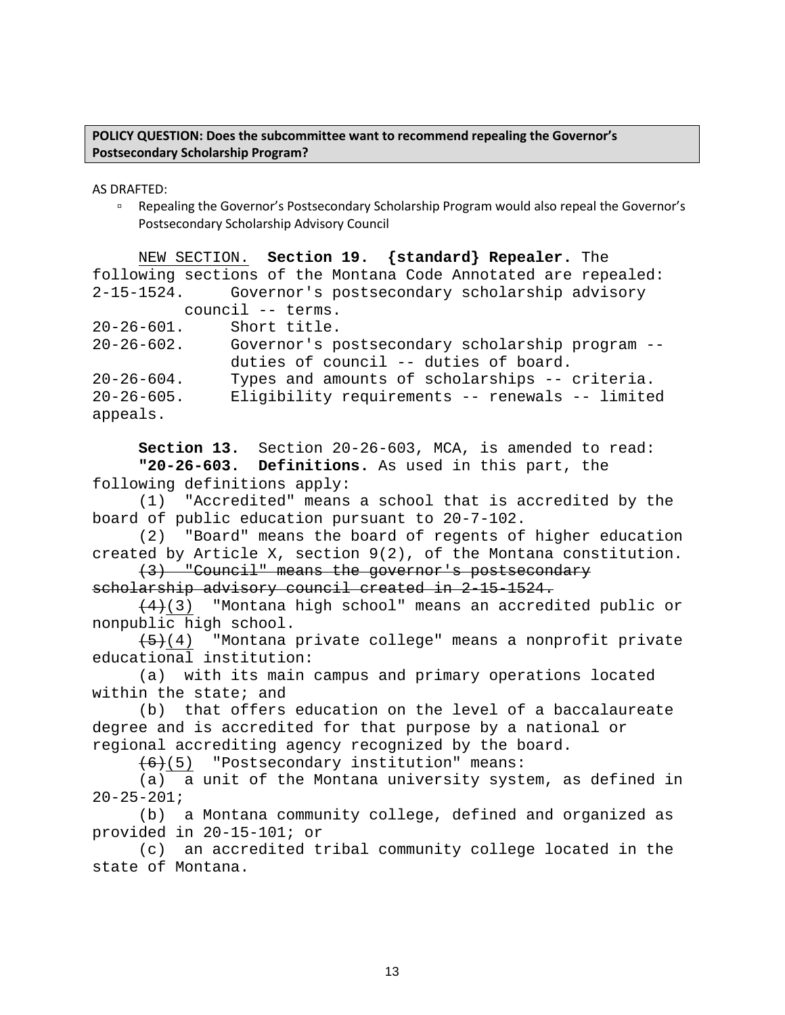**POLICY QUESTION: Does the subcommittee want to recommend repealing the Governor's Postsecondary Scholarship Program?**

AS DRAFTED:

▫ Repealing the Governor's Postsecondary Scholarship Program would also repeal the Governor's Postsecondary Scholarship Advisory Council

NEW SECTION. **Section 19. {standard} Repealer.** The following sections of the Montana Code Annotated are repealed:<br>2-15-1524. Governor's postsecondary scholarship advisory Governor's postsecondary scholarship advisory council -- terms.<br>20-26-601. Short title. 20-26-601. Short title. Governor's postsecondary scholarship program -duties of council -- duties of board. 20-26-604. Types and amounts of scholarships -- criteria. Eligibility requirements -- renewals -- limited appeals.

**Section 13.** Section 20-26-603, MCA, is amended to read: **"20-26-603. Definitions.** As used in this part, the following definitions apply:

(1) "Accredited" means a school that is accredited by the board of public education pursuant to 20-7-102.

(2) "Board" means the board of regents of higher education created by Article X, section 9(2), of the Montana constitution.

(3) "Council" means the governor's postsecondary scholarship advisory council created in 2-15-1524.

 $(4)(3)$  "Montana high school" means an accredited public or nonpublic high school.

(5)(4) "Montana private college" means a nonprofit private educational institution:

(a) with its main campus and primary operations located within the state; and

(b) that offers education on the level of a baccalaureate degree and is accredited for that purpose by a national or regional accrediting agency recognized by the board.

 $(6)(5)$  "Postsecondary institution" means:

(a) a unit of the Montana university system, as defined in  $20 - 25 - 201i$ 

(b) a Montana community college, defined and organized as provided in 20-15-101; or

(c) an accredited tribal community college located in the state of Montana.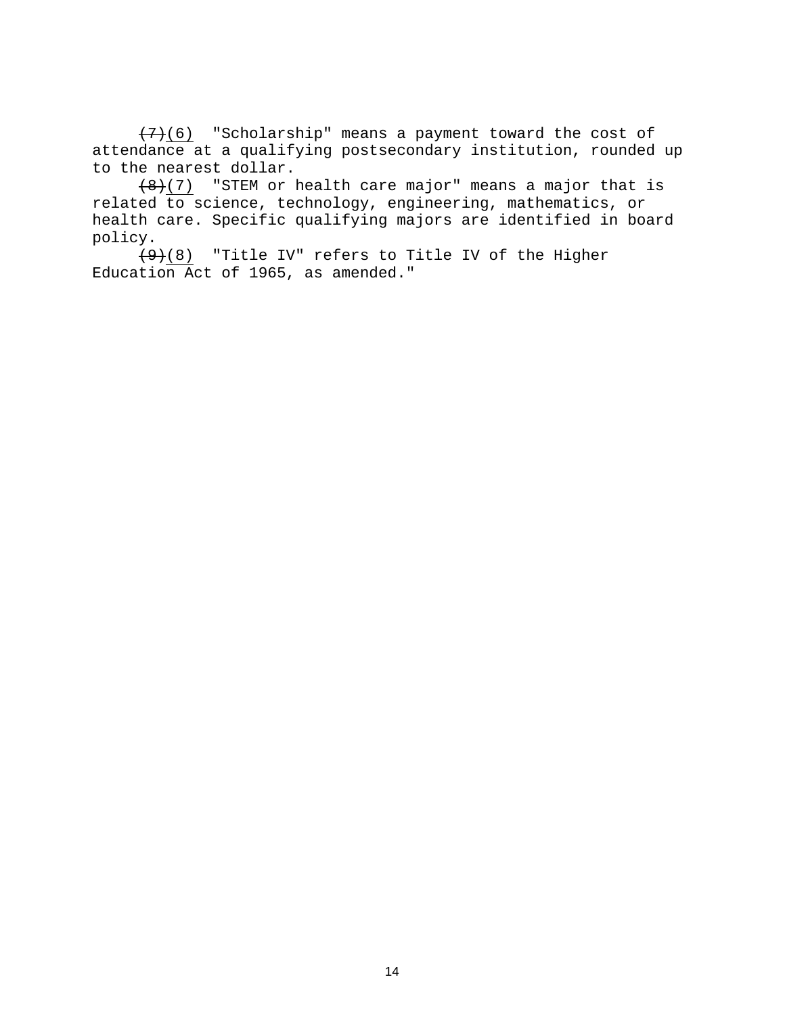$(7)(6)$  "Scholarship" means a payment toward the cost of attendance at a qualifying postsecondary institution, rounded up to the nearest dollar.

 $(8)(7)$  "STEM or health care major" means a major that is related to science, technology, engineering, mathematics, or health care. Specific qualifying majors are identified in board policy.

 $(9)(8)$  "Title IV" refers to Title IV of the Higher Education Act of 1965, as amended."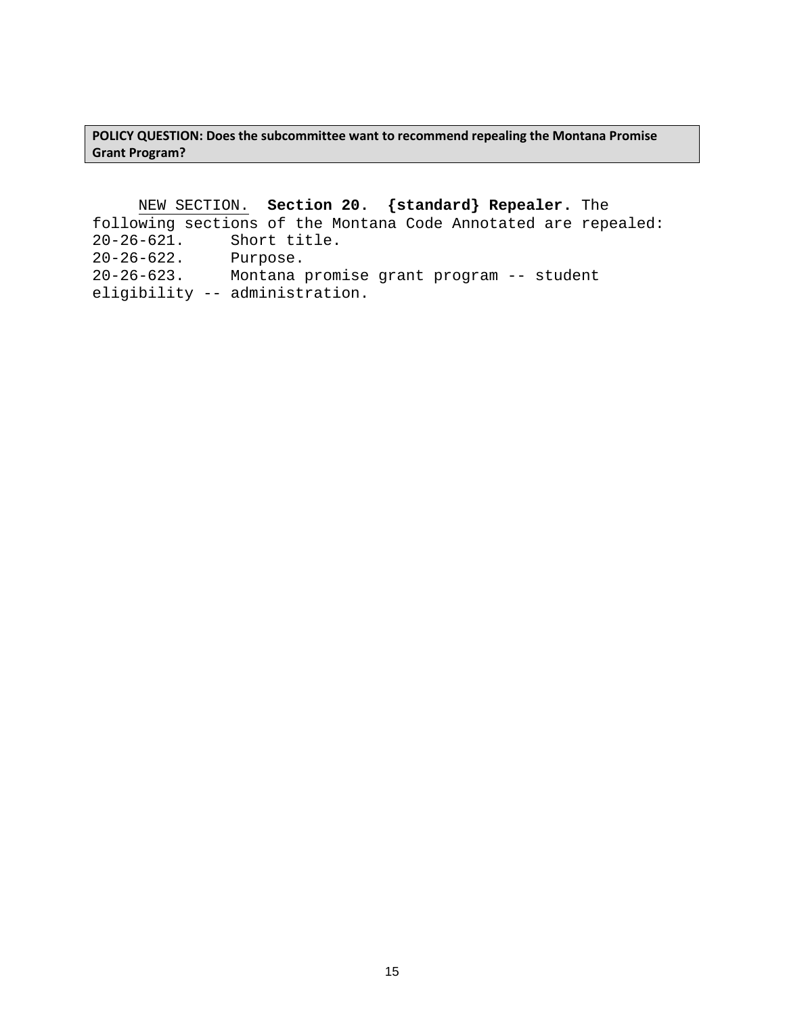# **POLICY QUESTION: Does the subcommittee want to recommend repealing the Montana Promise Grant Program?**

NEW SECTION. **Section 20. {standard} Repealer.** The following sections of the Montana Code Annotated are repealed: Short title.<br>Purpose. 20-26-622.<br>20-26-623. Montana promise grant program -- student eligibility -- administration.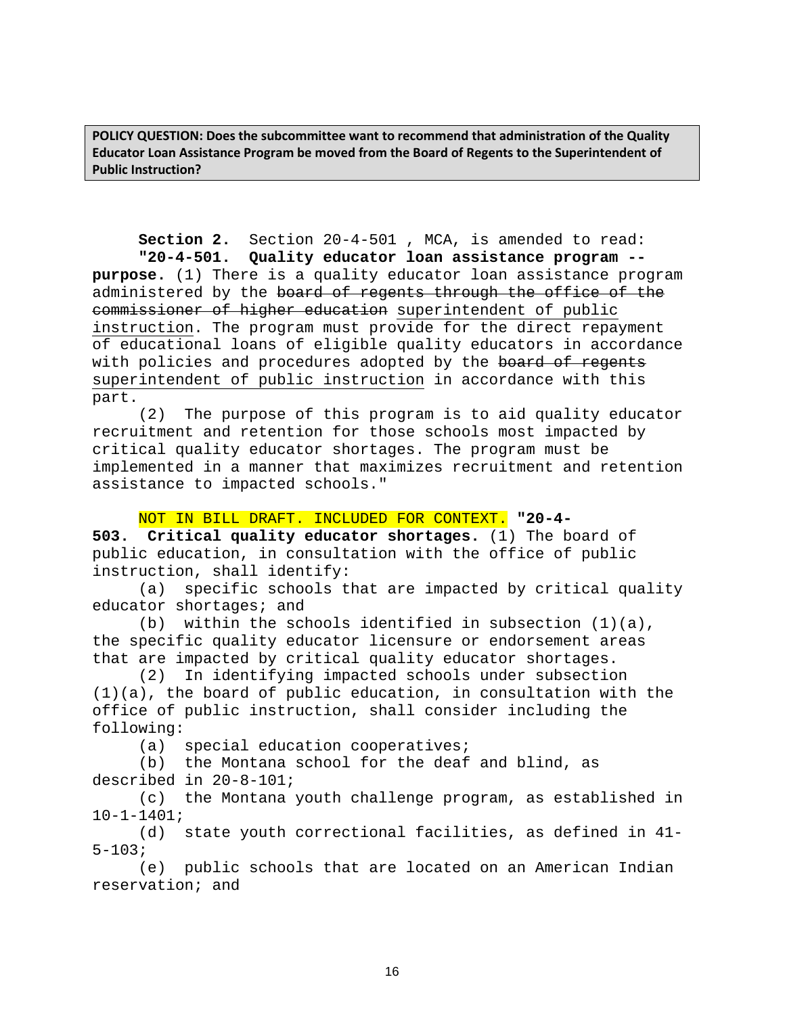**POLICY QUESTION: Does the subcommittee want to recommend that administration of the Quality Educator Loan Assistance Program be moved from the Board of Regents to the Superintendent of Public Instruction?**

**Section 2.** Section 20-4-501 , MCA, is amended to read: **"20-4-501. Quality educator loan assistance program - purpose.** (1) There is a quality educator loan assistance program administered by the board of regents through the office of the commissioner of higher education superintendent of public instruction. The program must provide for the direct repayment of educational loans of eligible quality educators in accordance with policies and procedures adopted by the board of regents superintendent of public instruction in accordance with this part.

(2) The purpose of this program is to aid quality educator recruitment and retention for those schools most impacted by critical quality educator shortages. The program must be implemented in a manner that maximizes recruitment and retention assistance to impacted schools."

NOT IN BILL DRAFT. INCLUDED FOR CONTEXT. **"20-4-**

**503. Critical quality educator shortages.** (1) The board of public education, in consultation with the office of public instruction, shall identify:

(a) specific schools that are impacted by critical quality educator shortages; and

(b) within the schools identified in subsection  $(1)(a)$ , the specific quality educator licensure or endorsement areas that are impacted by critical quality educator shortages.<br>(2) In identifying impacted schools under subsectio

In identifying impacted schools under subsection  $(1)(a)$ , the board of public education, in consultation with the office of public instruction, shall consider including the following:

(a) special education cooperatives;

(b) the Montana school for the deaf and blind, as described in 20-8-101;

(c) the Montana youth challenge program, as established in  $10 - 1 - 1401$ ;

(d) state youth correctional facilities, as defined in 41- 5-103;

(e) public schools that are located on an American Indian reservation; and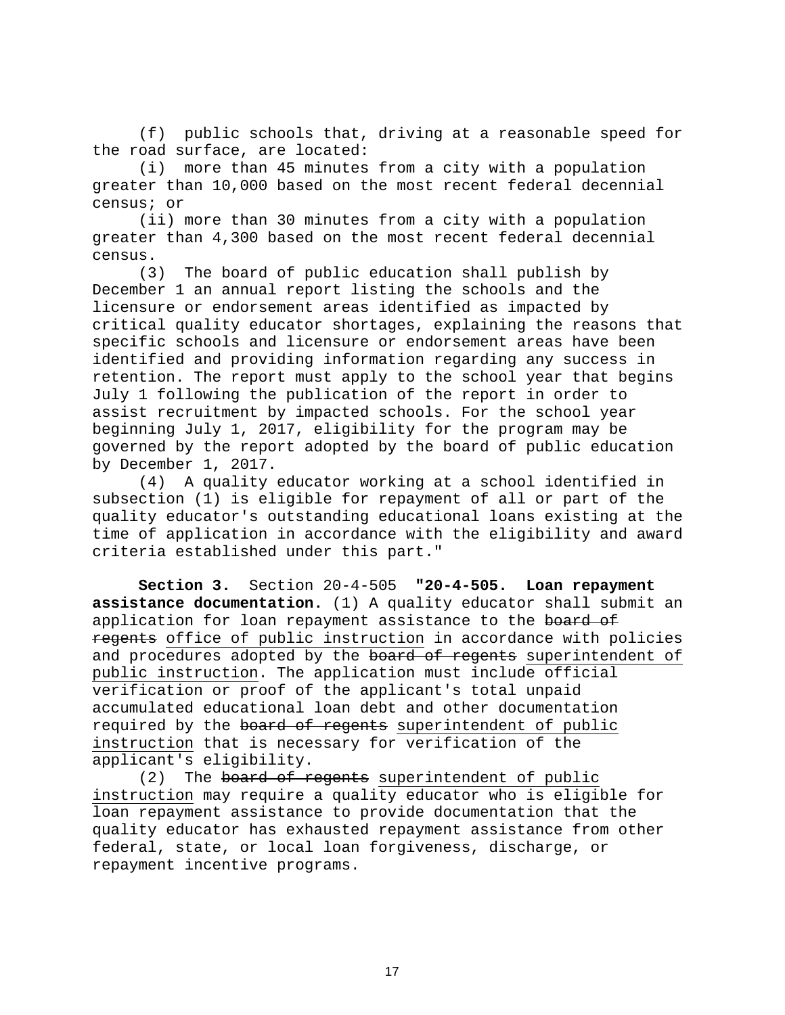(f) public schools that, driving at a reasonable speed for the road surface, are located:<br>(i) more than 45 minutes

more than 45 minutes from a city with a population greater than 10,000 based on the most recent federal decennial census; or

(ii) more than 30 minutes from a city with a population greater than 4,300 based on the most recent federal decennial census.

(3) The board of public education shall publish by December 1 an annual report listing the schools and the licensure or endorsement areas identified as impacted by critical quality educator shortages, explaining the reasons that specific schools and licensure or endorsement areas have been identified and providing information regarding any success in retention. The report must apply to the school year that begins July 1 following the publication of the report in order to assist recruitment by impacted schools. For the school year beginning July 1, 2017, eligibility for the program may be governed by the report adopted by the board of public education by December 1, 2017.

(4) A quality educator working at a school identified in subsection (1) is eligible for repayment of all or part of the quality educator's outstanding educational loans existing at the time of application in accordance with the eligibility and award criteria established under this part."

**Section 3.** Section 20-4-505 **"20-4-505. Loan repayment assistance documentation.** (1) A quality educator shall submit an application for loan repayment assistance to the board of regents office of public instruction in accordance with policies and procedures adopted by the board of regents superintendent of public instruction. The application must include official verification or proof of the applicant's total unpaid accumulated educational loan debt and other documentation required by the board of regents superintendent of public instruction that is necessary for verification of the applicant's eligibility.

(2) The board of regents superintendent of public instruction may require a quality educator who is eligible for loan repayment assistance to provide documentation that the quality educator has exhausted repayment assistance from other federal, state, or local loan forgiveness, discharge, or repayment incentive programs.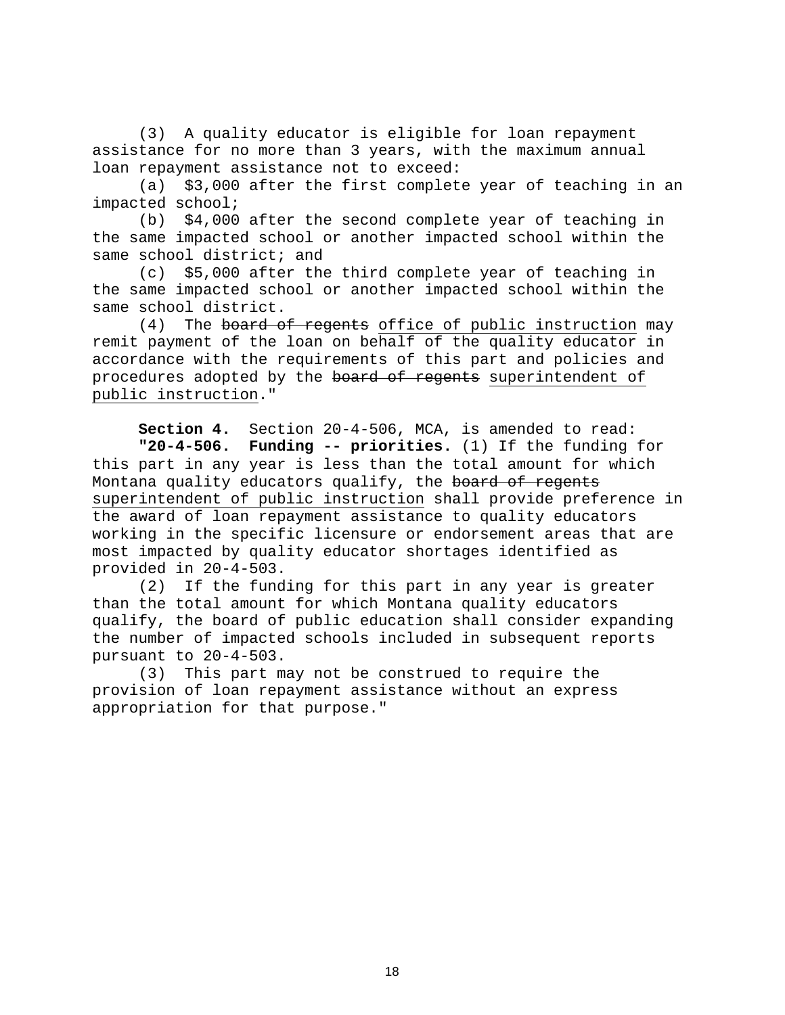(3) A quality educator is eligible for loan repayment assistance for no more than 3 years, with the maximum annual loan repayment assistance not to exceed:

(a) \$3,000 after the first complete year of teaching in an impacted school;

(b) \$4,000 after the second complete year of teaching in the same impacted school or another impacted school within the same school district; and

(c) \$5,000 after the third complete year of teaching in the same impacted school or another impacted school within the same school district.<br>(4) The board o

The board of regents office of public instruction may remit payment of the loan on behalf of the quality educator in accordance with the requirements of this part and policies and procedures adopted by the board of regents superintendent of public instruction."

**Section 4.** Section 20-4-506, MCA, is amended to read: **"20-4-506. Funding -- priorities.** (1) If the funding for this part in any year is less than the total amount for which Montana quality educators qualify, the board of regents superintendent of public instruction shall provide preference in the award of loan repayment assistance to quality educators working in the specific licensure or endorsement areas that are most impacted by quality educator shortages identified as provided in 20-4-503.

(2) If the funding for this part in any year is greater than the total amount for which Montana quality educators qualify, the board of public education shall consider expanding the number of impacted schools included in subsequent reports pursuant to 20-4-503.

(3) This part may not be construed to require the provision of loan repayment assistance without an express appropriation for that purpose."

18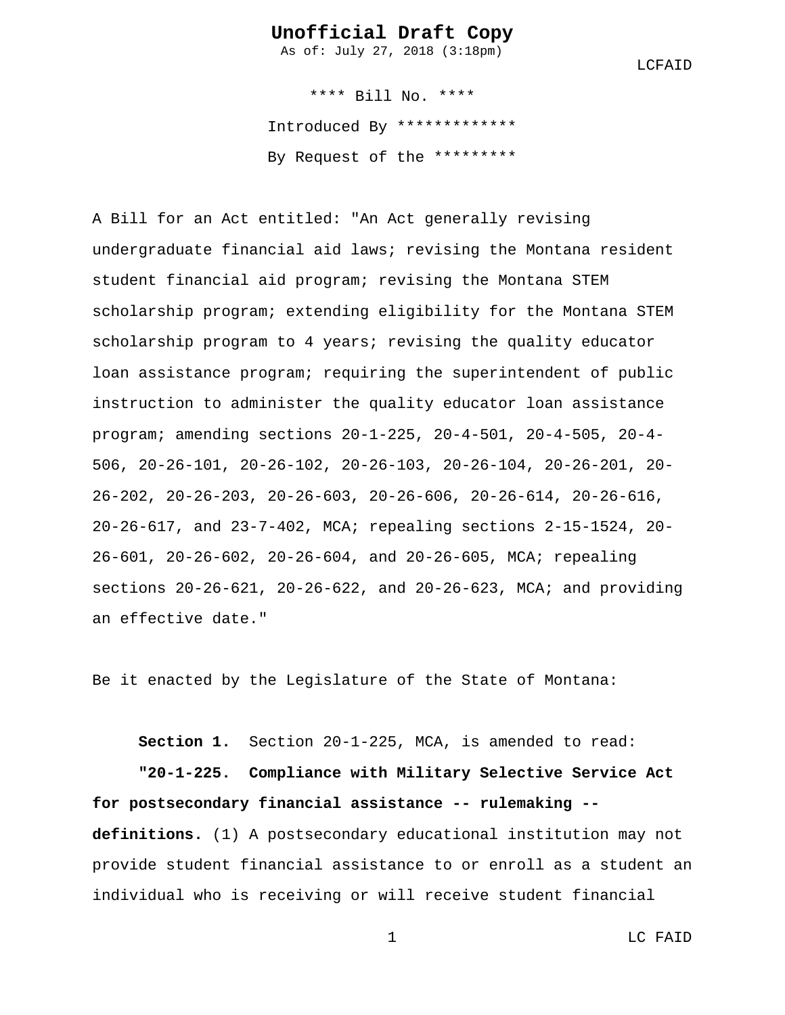As of: July 27, 2018 (3:18pm)

LCFAID

\*\*\*\* Bill No. \*\*\*\* Introduced By \*\*\*\*\*\*\*\*\*\*\*\*\* By Request of the \*\*\*\*\*\*\*\*\*

A Bill for an Act entitled: "An Act generally revising undergraduate financial aid laws; revising the Montana resident student financial aid program; revising the Montana STEM scholarship program; extending eligibility for the Montana STEM scholarship program to 4 years; revising the quality educator loan assistance program; requiring the superintendent of public instruction to administer the quality educator loan assistance program; amending sections 20-1-225, 20-4-501, 20-4-505, 20-4- 506, 20-26-101, 20-26-102, 20-26-103, 20-26-104, 20-26-201, 20- 26-202, 20-26-203, 20-26-603, 20-26-606, 20-26-614, 20-26-616, 20-26-617, and 23-7-402, MCA; repealing sections 2-15-1524, 20- 26-601, 20-26-602, 20-26-604, and 20-26-605, MCA; repealing sections 20-26-621, 20-26-622, and 20-26-623, MCA; and providing an effective date."

Be it enacted by the Legislature of the State of Montana:

**Section 1.** Section 20-1-225, MCA, is amended to read:

**"20-1-225. Compliance with Military Selective Service Act for postsecondary financial assistance -- rulemaking - definitions.** (1) A postsecondary educational institution may not provide student financial assistance to or enroll as a student an individual who is receiving or will receive student financial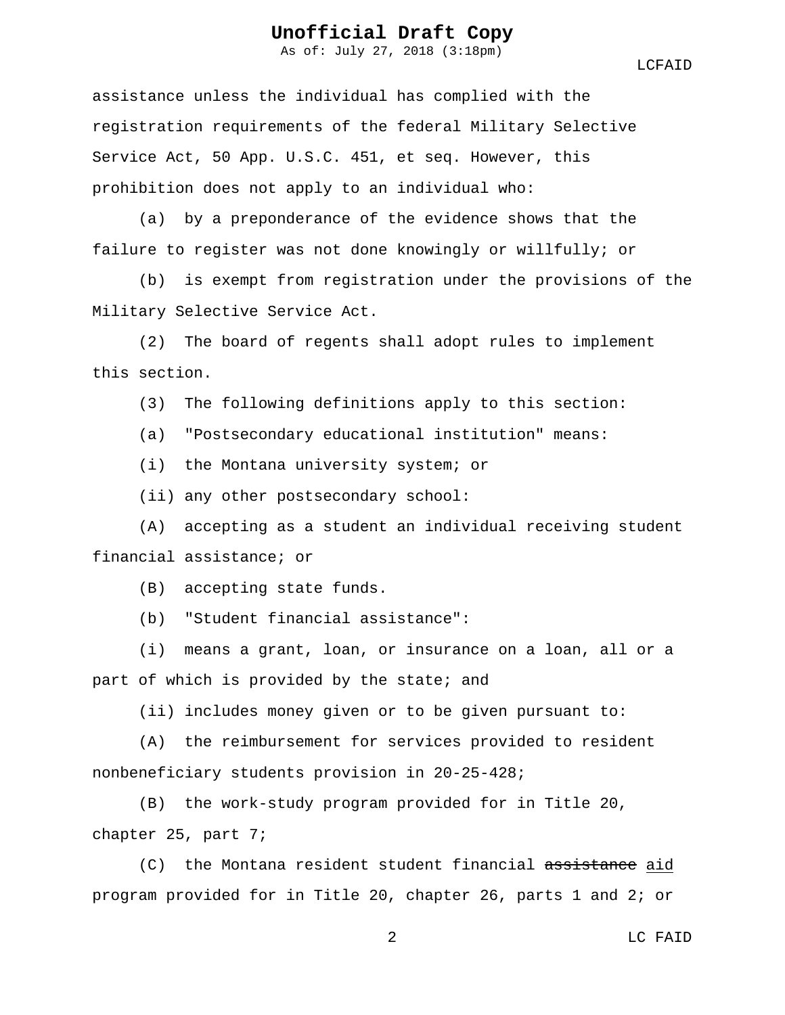As of: July 27, 2018 (3:18pm)

LCFAID

assistance unless the individual has complied with the registration requirements of the federal Military Selective Service Act, 50 App. U.S.C. 451, et seq. However, this prohibition does not apply to an individual who:

(a) by a preponderance of the evidence shows that the failure to register was not done knowingly or willfully; or

(b) is exempt from registration under the provisions of the Military Selective Service Act.

(2) The board of regents shall adopt rules to implement this section.

(3) The following definitions apply to this section:

(a) "Postsecondary educational institution" means:

(i) the Montana university system; or

(ii) any other postsecondary school:

(A) accepting as a student an individual receiving student financial assistance; or

(B) accepting state funds.

(b) "Student financial assistance":

(i) means a grant, loan, or insurance on a loan, all or a part of which is provided by the state; and

(ii) includes money given or to be given pursuant to:

(A) the reimbursement for services provided to resident nonbeneficiary students provision in 20-25-428;

(B) the work-study program provided for in Title 20, chapter 25, part 7;

(C) the Montana resident student financial assistance aid program provided for in Title 20, chapter 26, parts 1 and 2; or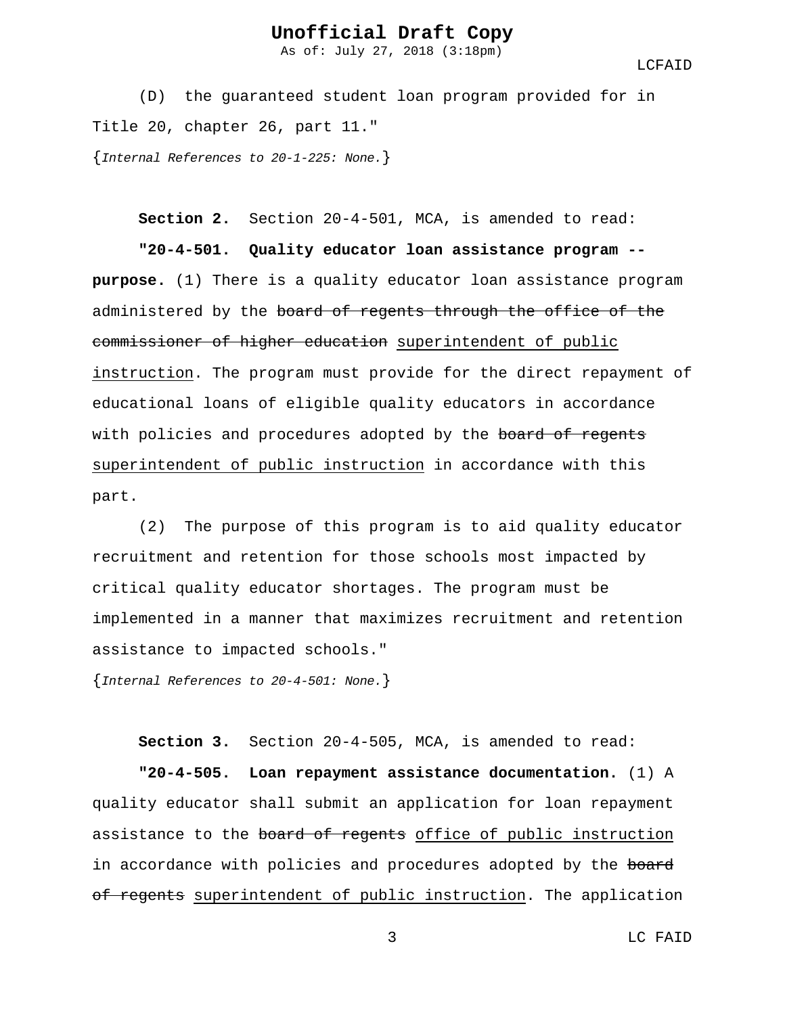As of: July 27, 2018 (3:18pm)

LCFAID

(D) the guaranteed student loan program provided for in Title 20, chapter 26, part 11."

{*Internal References to 20-1-225: None.*}

**Section 2.** Section 20-4-501, MCA, is amended to read:

**"20-4-501. Quality educator loan assistance program - purpose.** (1) There is a quality educator loan assistance program administered by the board of regents through the office of the commissioner of higher education superintendent of public instruction. The program must provide for the direct repayment of educational loans of eligible quality educators in accordance with policies and procedures adopted by the board of regents superintendent of public instruction in accordance with this part.

(2) The purpose of this program is to aid quality educator recruitment and retention for those schools most impacted by critical quality educator shortages. The program must be implemented in a manner that maximizes recruitment and retention assistance to impacted schools."

{*Internal References to 20-4-501: None.*}

**Section 3.** Section 20-4-505, MCA, is amended to read:

**"20-4-505. Loan repayment assistance documentation.** (1) A quality educator shall submit an application for loan repayment assistance to the board of regents office of public instruction in accordance with policies and procedures adopted by the board of regents superintendent of public instruction. The application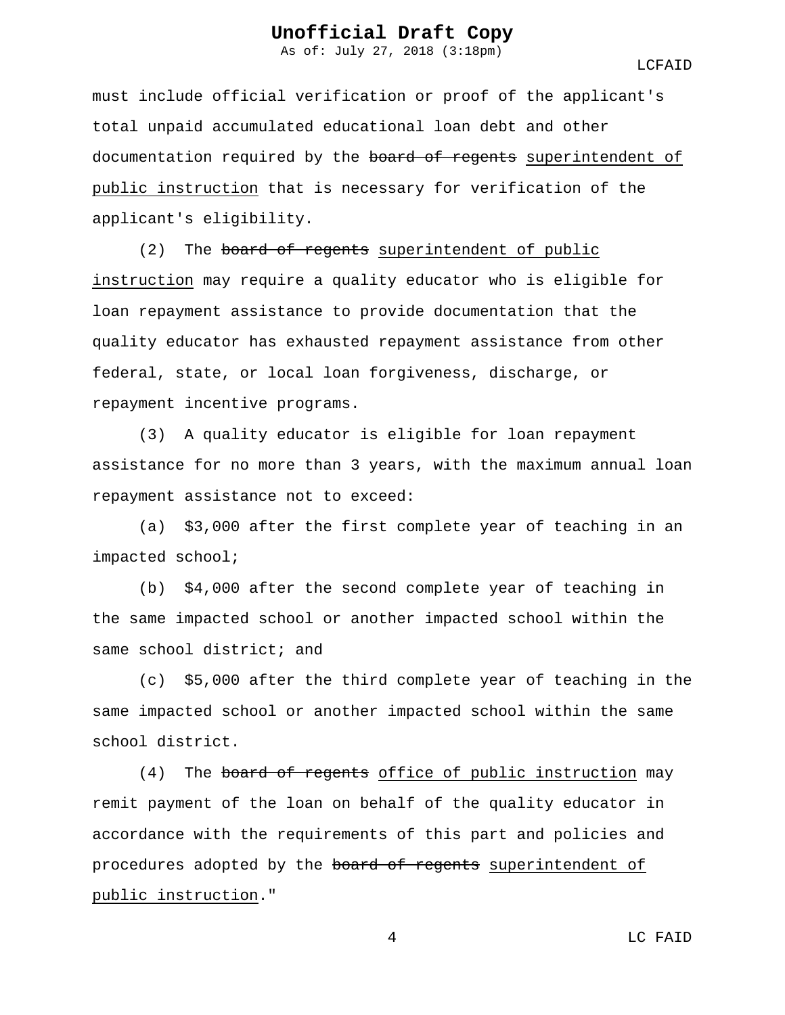As of: July 27, 2018 (3:18pm)

LCFAID

must include official verification or proof of the applicant's total unpaid accumulated educational loan debt and other documentation required by the board of regents superintendent of public instruction that is necessary for verification of the applicant's eligibility.

(2) The board of regents superintendent of public instruction may require a quality educator who is eligible for loan repayment assistance to provide documentation that the quality educator has exhausted repayment assistance from other federal, state, or local loan forgiveness, discharge, or repayment incentive programs.

(3) A quality educator is eligible for loan repayment assistance for no more than 3 years, with the maximum annual loan repayment assistance not to exceed:

(a) \$3,000 after the first complete year of teaching in an impacted school;

(b) \$4,000 after the second complete year of teaching in the same impacted school or another impacted school within the same school district; and

(c) \$5,000 after the third complete year of teaching in the same impacted school or another impacted school within the same school district.

(4) The board of regents office of public instruction may remit payment of the loan on behalf of the quality educator in accordance with the requirements of this part and policies and procedures adopted by the board of regents superintendent of public instruction."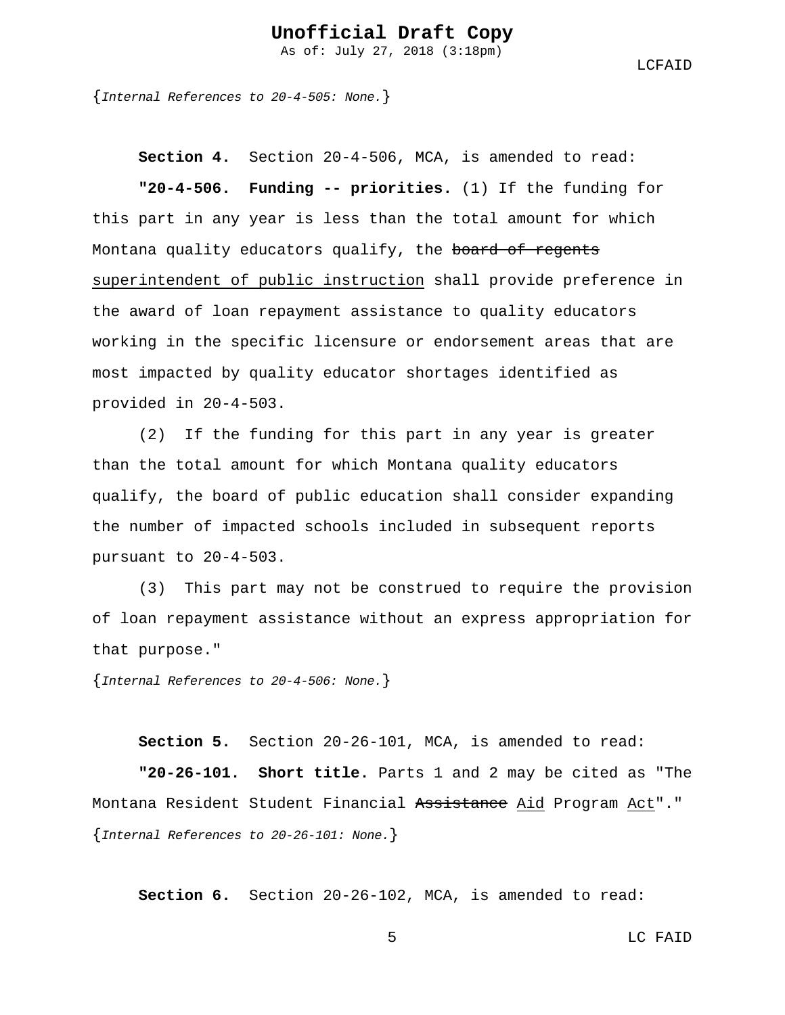As of: July 27, 2018 (3:18pm)

LCFAID

{*Internal References to 20-4-505: None.*}

**Section 4.** Section 20-4-506, MCA, is amended to read: **"20-4-506. Funding -- priorities.** (1) If the funding for this part in any year is less than the total amount for which Montana quality educators qualify, the board of regents superintendent of public instruction shall provide preference in the award of loan repayment assistance to quality educators working in the specific licensure or endorsement areas that are most impacted by quality educator shortages identified as provided in 20-4-503.

(2) If the funding for this part in any year is greater than the total amount for which Montana quality educators qualify, the board of public education shall consider expanding the number of impacted schools included in subsequent reports pursuant to 20-4-503.

(3) This part may not be construed to require the provision of loan repayment assistance without an express appropriation for that purpose."

{*Internal References to 20-4-506: None.*}

**Section 5.** Section 20-26-101, MCA, is amended to read:

**"20-26-101. Short title.** Parts 1 and 2 may be cited as "The Montana Resident Student Financial Assistance Aid Program Act"." {*Internal References to 20-26-101: None.*}

**Section 6.** Section 20-26-102, MCA, is amended to read: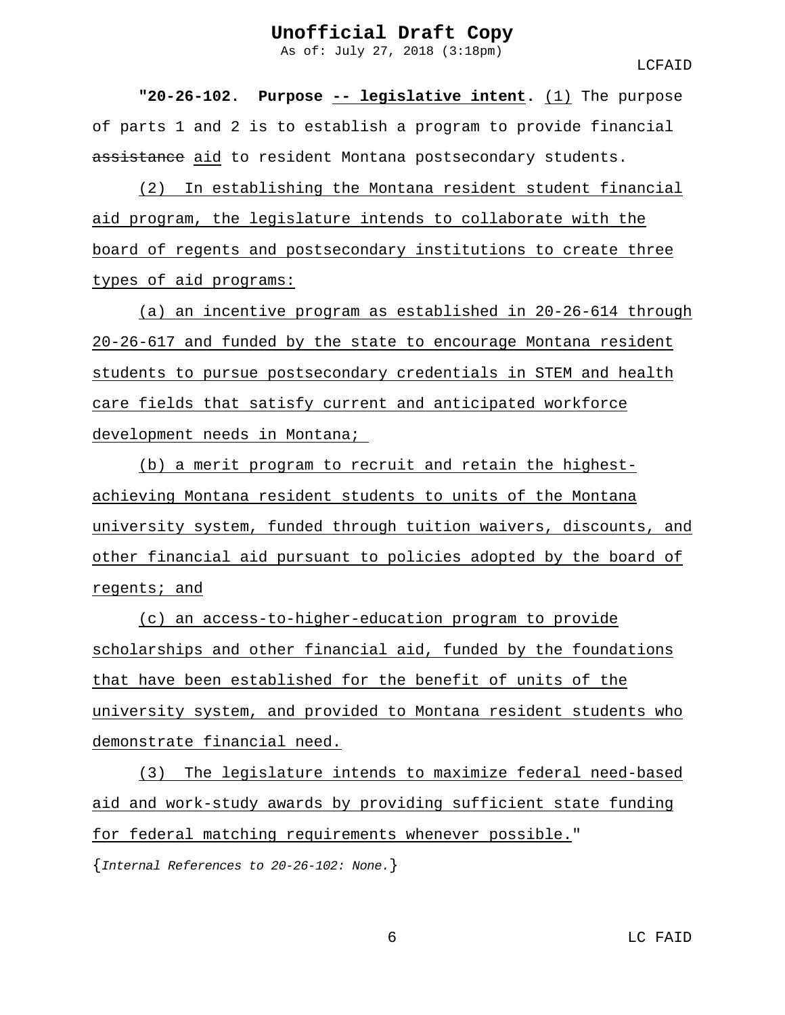As of: July 27, 2018 (3:18pm)

LCFAID

**"20-26-102. Purpose -- legislative intent.** (1) The purpose of parts 1 and 2 is to establish a program to provide financial assistance aid to resident Montana postsecondary students.

(2) In establishing the Montana resident student financial aid program, the legislature intends to collaborate with the board of regents and postsecondary institutions to create three types of aid programs:

(a) an incentive program as established in 20-26-614 through 20-26-617 and funded by the state to encourage Montana resident students to pursue postsecondary credentials in STEM and health care fields that satisfy current and anticipated workforce development needs in Montana;

(b) a merit program to recruit and retain the highestachieving Montana resident students to units of the Montana university system, funded through tuition waivers, discounts, and other financial aid pursuant to policies adopted by the board of regents; and

(c) an access-to-higher-education program to provide scholarships and other financial aid, funded by the foundations that have been established for the benefit of units of the university system, and provided to Montana resident students who demonstrate financial need.

(3) The legislature intends to maximize federal need-based aid and work-study awards by providing sufficient state funding for federal matching requirements whenever possible."

{*Internal References to 20-26-102: None.*}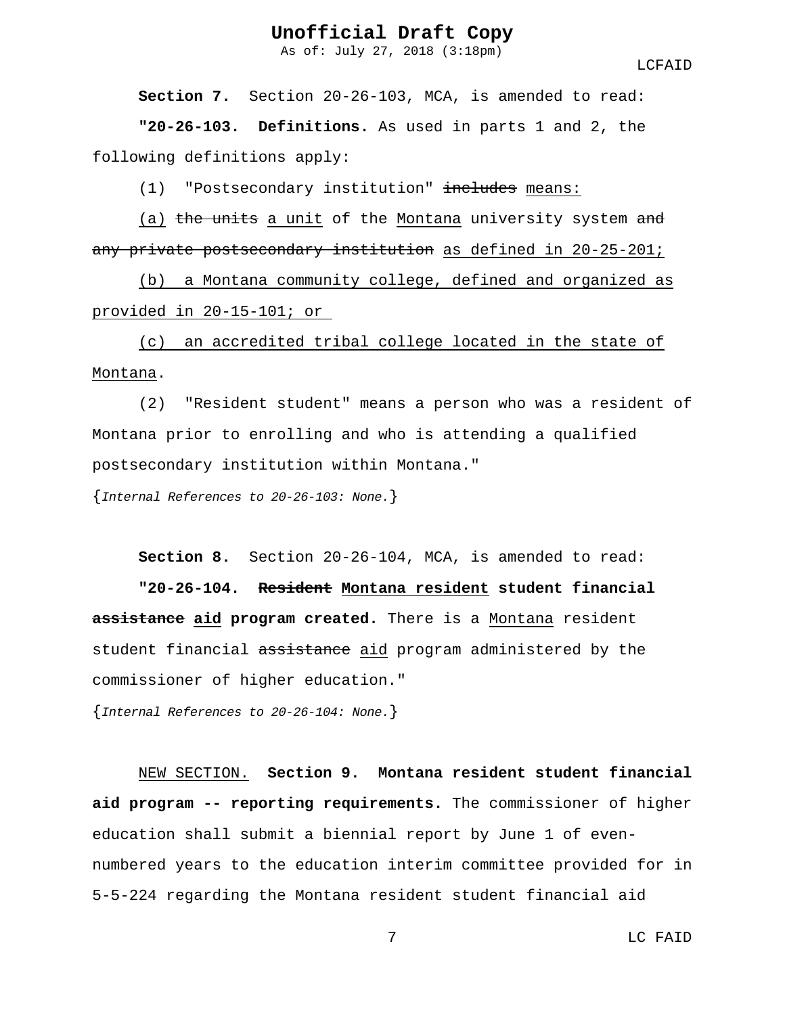As of: July 27, 2018 (3:18pm)

LCFAID

**Section 7.** Section 20-26-103, MCA, is amended to read: **"20-26-103. Definitions.** As used in parts 1 and 2, the following definitions apply:

(1) "Postsecondary institution" includes means:

(a) the units a unit of the Montana university system and any private postsecondary institution as defined in 20-25-201;

(b) a Montana community college, defined and organized as provided in 20-15-101; or

(c) an accredited tribal college located in the state of Montana.

(2) "Resident student" means a person who was a resident of Montana prior to enrolling and who is attending a qualified postsecondary institution within Montana."

{*Internal References to 20-26-103: None.*}

**Section 8.** Section 20-26-104, MCA, is amended to read: **"20-26-104. Resident Montana resident student financial assistance aid program created.** There is a Montana resident student financial assistance aid program administered by the commissioner of higher education."

{*Internal References to 20-26-104: None.*}

NEW SECTION. **Section 9. Montana resident student financial aid program -- reporting requirements.** The commissioner of higher education shall submit a biennial report by June 1 of evennumbered years to the education interim committee provided for in 5-5-224 regarding the Montana resident student financial aid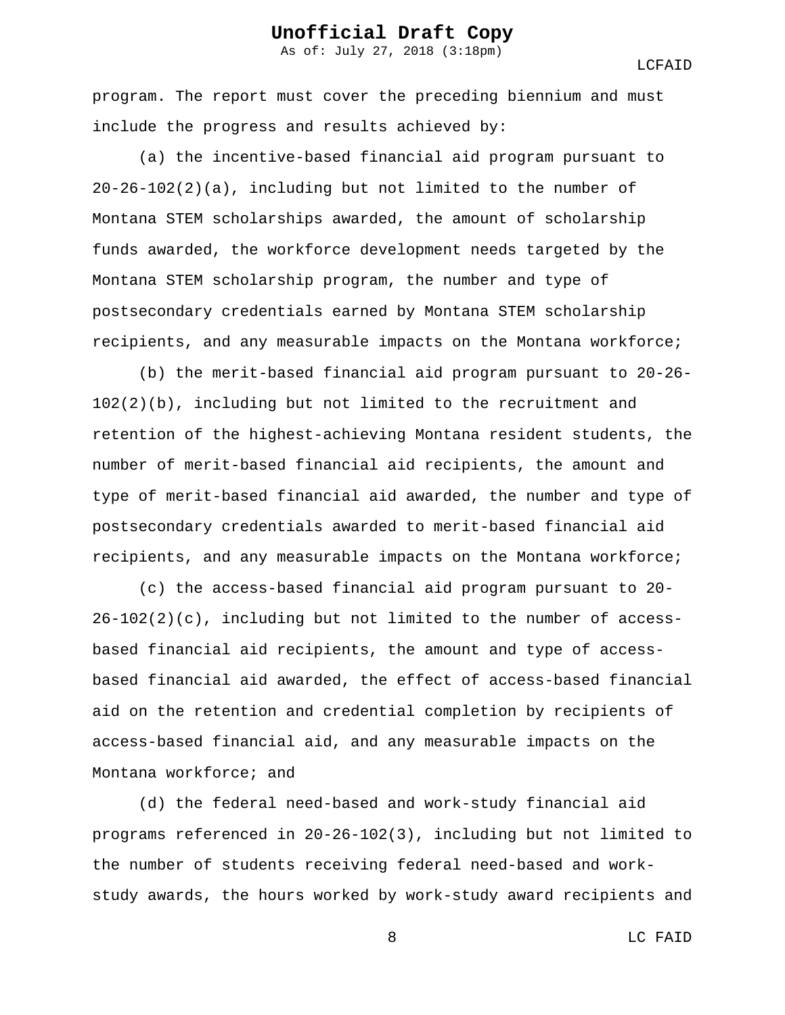As of: July 27, 2018 (3:18pm)

LCFAID

program. The report must cover the preceding biennium and must include the progress and results achieved by:

(a) the incentive-based financial aid program pursuant to 20-26-102(2)(a), including but not limited to the number of Montana STEM scholarships awarded, the amount of scholarship funds awarded, the workforce development needs targeted by the Montana STEM scholarship program, the number and type of postsecondary credentials earned by Montana STEM scholarship recipients, and any measurable impacts on the Montana workforce;

(b) the merit-based financial aid program pursuant to 20-26- 102(2)(b), including but not limited to the recruitment and retention of the highest-achieving Montana resident students, the number of merit-based financial aid recipients, the amount and type of merit-based financial aid awarded, the number and type of postsecondary credentials awarded to merit-based financial aid recipients, and any measurable impacts on the Montana workforce;

(c) the access-based financial aid program pursuant to 20- 26-102(2)(c), including but not limited to the number of accessbased financial aid recipients, the amount and type of accessbased financial aid awarded, the effect of access-based financial aid on the retention and credential completion by recipients of access-based financial aid, and any measurable impacts on the Montana workforce; and

(d) the federal need-based and work-study financial aid programs referenced in 20-26-102(3), including but not limited to the number of students receiving federal need-based and workstudy awards, the hours worked by work-study award recipients and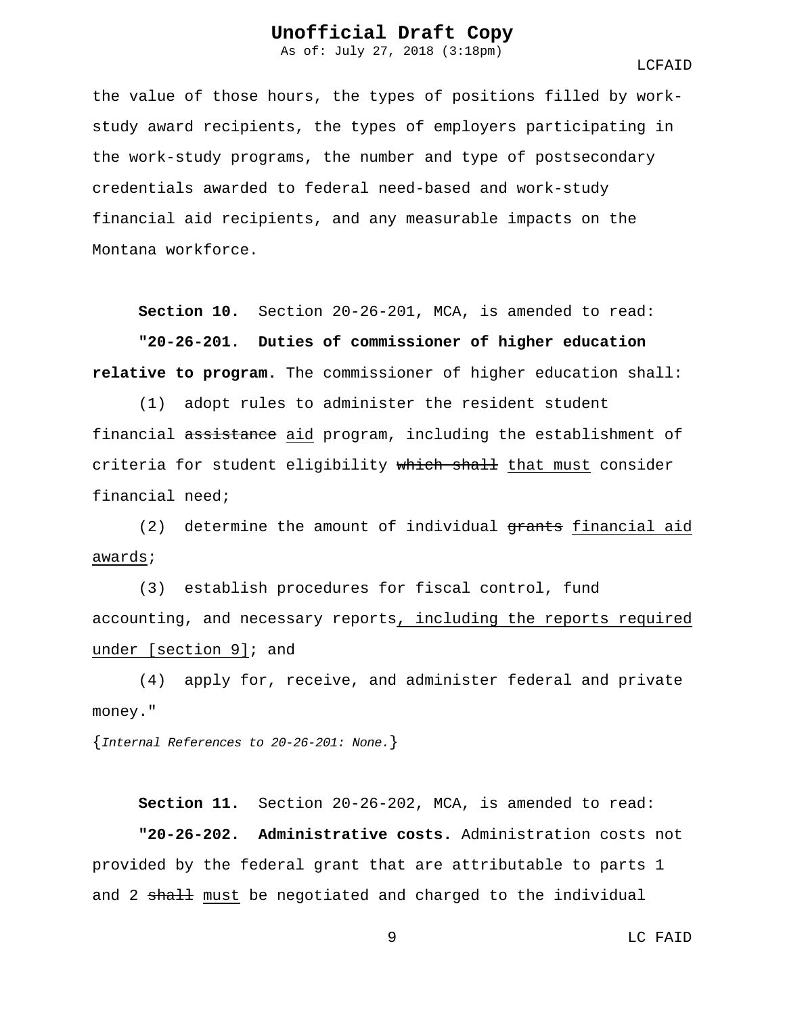As of: July 27, 2018 (3:18pm)

LCFAID

the value of those hours, the types of positions filled by workstudy award recipients, the types of employers participating in the work-study programs, the number and type of postsecondary credentials awarded to federal need-based and work-study financial aid recipients, and any measurable impacts on the Montana workforce.

**Section 10.** Section 20-26-201, MCA, is amended to read:

**"20-26-201. Duties of commissioner of higher education relative to program.** The commissioner of higher education shall:

(1) adopt rules to administer the resident student financial assistance aid program, including the establishment of criteria for student eligibility which shall that must consider financial need;

(2) determine the amount of individual grants financial aid awards;

(3) establish procedures for fiscal control, fund accounting, and necessary reports, including the reports required under [section 9]; and

(4) apply for, receive, and administer federal and private money."

{*Internal References to 20-26-201: None.*}

**Section 11.** Section 20-26-202, MCA, is amended to read:

**"20-26-202. Administrative costs.** Administration costs not provided by the federal grant that are attributable to parts 1 and 2 shall must be negotiated and charged to the individual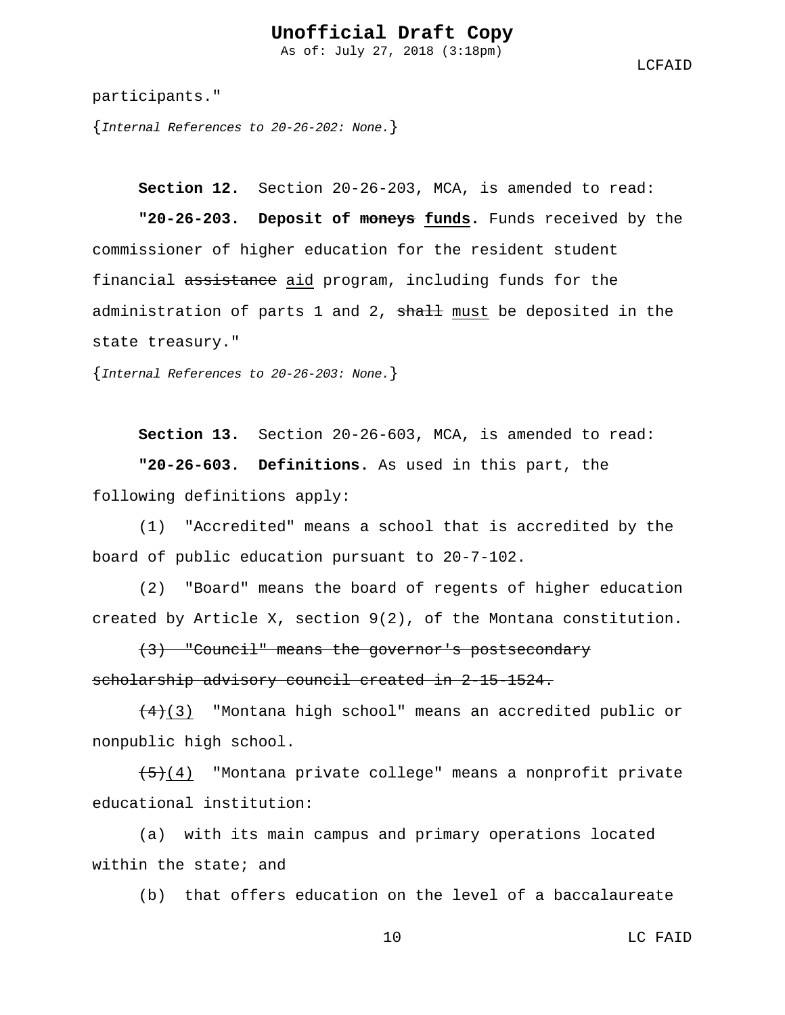As of: July 27, 2018 (3:18pm)

LCFAID

participants."

{*Internal References to 20-26-202: None.*}

**Section 12.** Section 20-26-203, MCA, is amended to read:

**"20-26-203. Deposit of moneys funds.** Funds received by the commissioner of higher education for the resident student financial assistance aid program, including funds for the administration of parts 1 and 2, shall must be deposited in the state treasury."

{*Internal References to 20-26-203: None.*}

**Section 13.** Section 20-26-603, MCA, is amended to read:

**"20-26-603. Definitions.** As used in this part, the following definitions apply:

(1) "Accredited" means a school that is accredited by the board of public education pursuant to 20-7-102.

(2) "Board" means the board of regents of higher education created by Article X, section 9(2), of the Montana constitution.

(3) "Council" means the governor's postsecondary scholarship advisory council created in 2-15-1524.

 $\frac{+4}{3}$  "Montana high school" means an accredited public or nonpublic high school.

 $(5)(4)$  "Montana private college" means a nonprofit private educational institution:

(a) with its main campus and primary operations located within the state; and

(b) that offers education on the level of a baccalaureate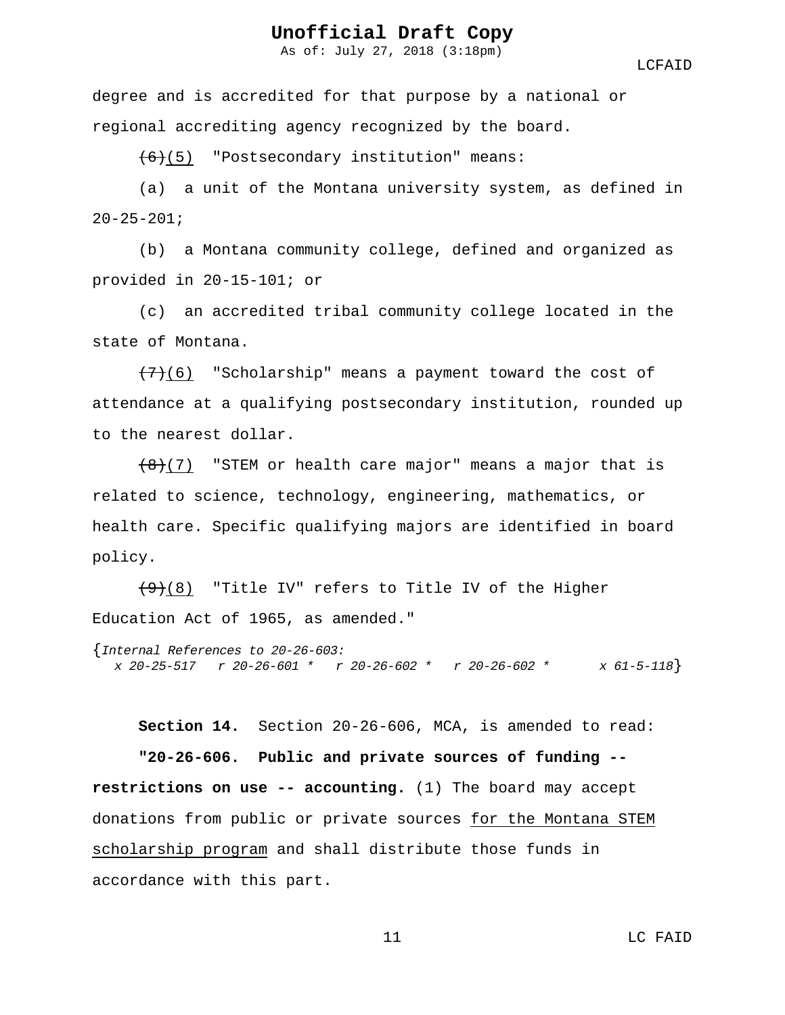As of: July 27, 2018 (3:18pm)

LCFAID

degree and is accredited for that purpose by a national or regional accrediting agency recognized by the board.

 $(6)(5)$  "Postsecondary institution" means:

(a) a unit of the Montana university system, as defined in  $20 - 25 - 201i$ 

(b) a Montana community college, defined and organized as provided in 20-15-101; or

(c) an accredited tribal community college located in the state of Montana.

 $(7)$ (6) "Scholarship" means a payment toward the cost of attendance at a qualifying postsecondary institution, rounded up to the nearest dollar.

 $(8)(7)$  "STEM or health care major" means a major that is related to science, technology, engineering, mathematics, or health care. Specific qualifying majors are identified in board policy.

 $(9)(8)$  "Title IV" refers to Title IV of the Higher Education Act of 1965, as amended."

```
{Internal References to 20-26-603:
x 20-25-517 r 20-26-601 * r 20-26-602 * r 20-26-602 * x 61-5-118}
```
**Section 14.** Section 20-26-606, MCA, is amended to read:

**"20-26-606. Public and private sources of funding - restrictions on use -- accounting.** (1) The board may accept donations from public or private sources for the Montana STEM scholarship program and shall distribute those funds in accordance with this part.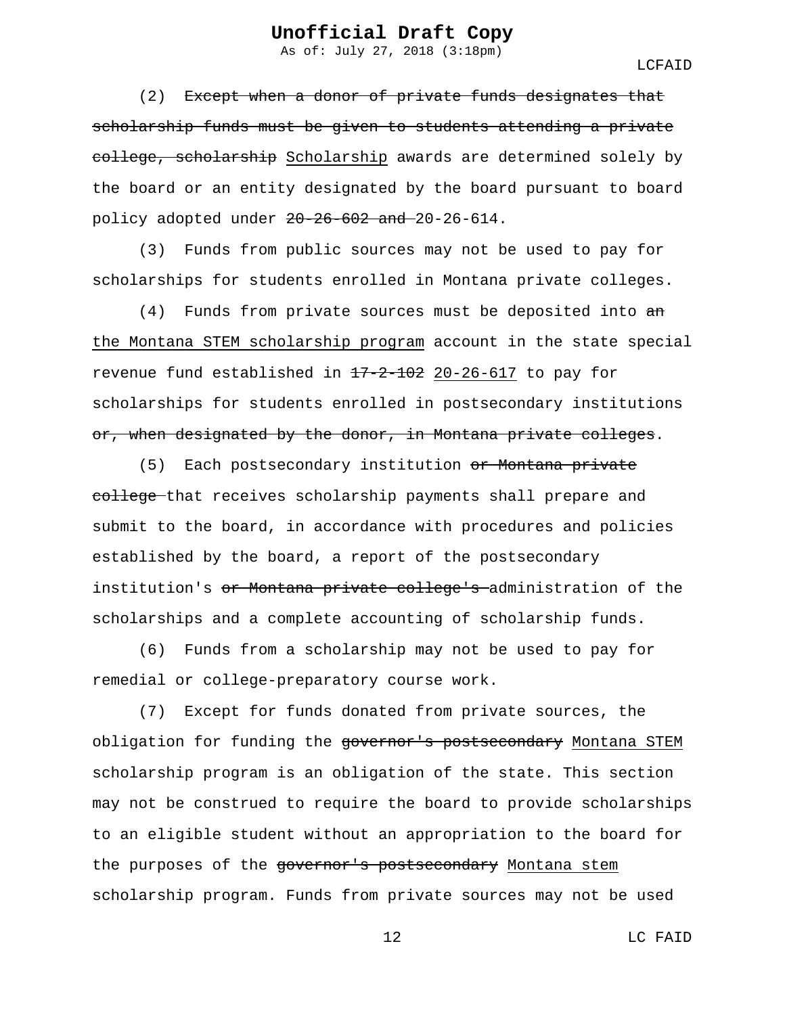As of: July 27, 2018 (3:18pm)

(2) Except when a donor of private funds designates that scholarship funds must be given to students attending a private college, scholarship Scholarship awards are determined solely by the board or an entity designated by the board pursuant to board policy adopted under  $20-26-602$  and  $20-26-614$ .

(3) Funds from public sources may not be used to pay for scholarships for students enrolled in Montana private colleges.

 $(4)$  Funds from private sources must be deposited into  $\frac{1}{2}$ the Montana STEM scholarship program account in the state special revenue fund established in  $17-2-102$  20-26-617 to pay for scholarships for students enrolled in postsecondary institutions or, when designated by the donor, in Montana private colleges.

(5) Each postsecondary institution or Montana private college that receives scholarship payments shall prepare and submit to the board, in accordance with procedures and policies established by the board, a report of the postsecondary institution's <del>or Montana private college's a</del>dministration of the scholarships and a complete accounting of scholarship funds.

(6) Funds from a scholarship may not be used to pay for remedial or college-preparatory course work.

(7) Except for funds donated from private sources, the obligation for funding the governor's postsecondary Montana STEM scholarship program is an obligation of the state. This section may not be construed to require the board to provide scholarships to an eligible student without an appropriation to the board for the purposes of the governor's postsecondary Montana stem scholarship program. Funds from private sources may not be used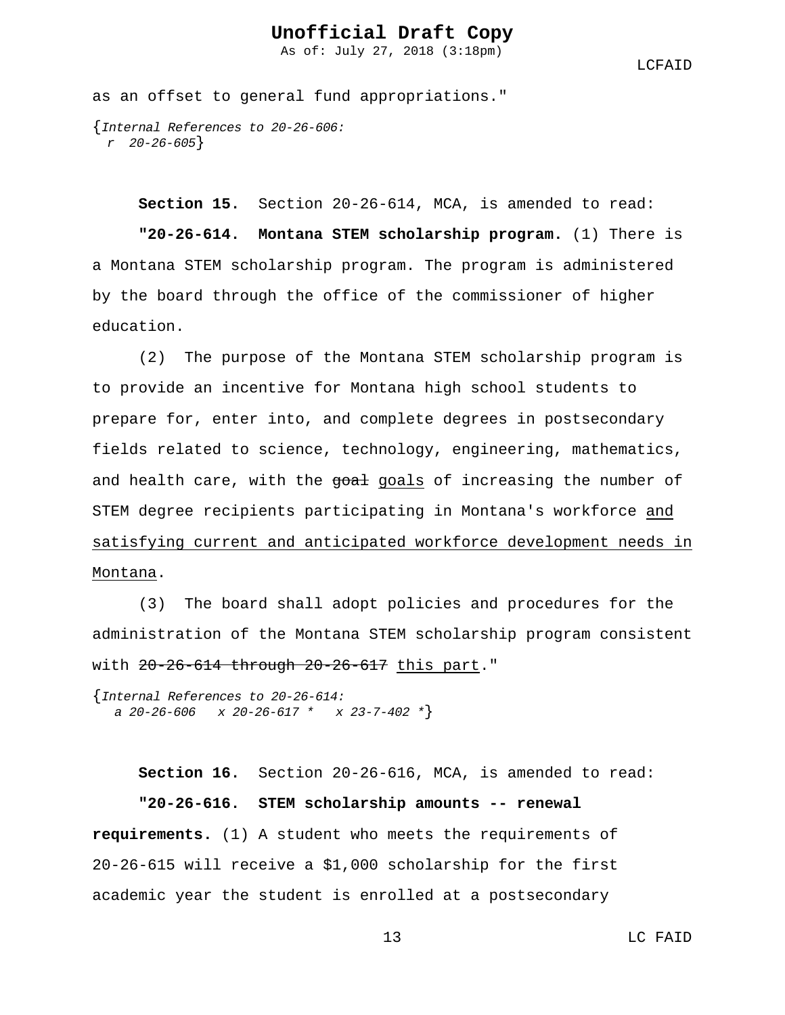As of: July 27, 2018 (3:18pm)

LCFAID

as an offset to general fund appropriations."

{*Internal References to 20-26-606: r 20-26-605*}

**Section 15.** Section 20-26-614, MCA, is amended to read: **"20-26-614. Montana STEM scholarship program.** (1) There is a Montana STEM scholarship program. The program is administered by the board through the office of the commissioner of higher education.

(2) The purpose of the Montana STEM scholarship program is to provide an incentive for Montana high school students to prepare for, enter into, and complete degrees in postsecondary fields related to science, technology, engineering, mathematics, and health care, with the goal goals of increasing the number of STEM degree recipients participating in Montana's workforce and satisfying current and anticipated workforce development needs in Montana.

(3) The board shall adopt policies and procedures for the administration of the Montana STEM scholarship program consistent with 20-26-614 through 20-26-617 this part."

{*Internal References to 20-26-614: a 20-26-606 x 20-26-617 \* x 23-7-402 \**}

**Section 16.** Section 20-26-616, MCA, is amended to read: **"20-26-616. STEM scholarship amounts -- renewal requirements.** (1) A student who meets the requirements of 20-26-615 will receive a \$1,000 scholarship for the first academic year the student is enrolled at a postsecondary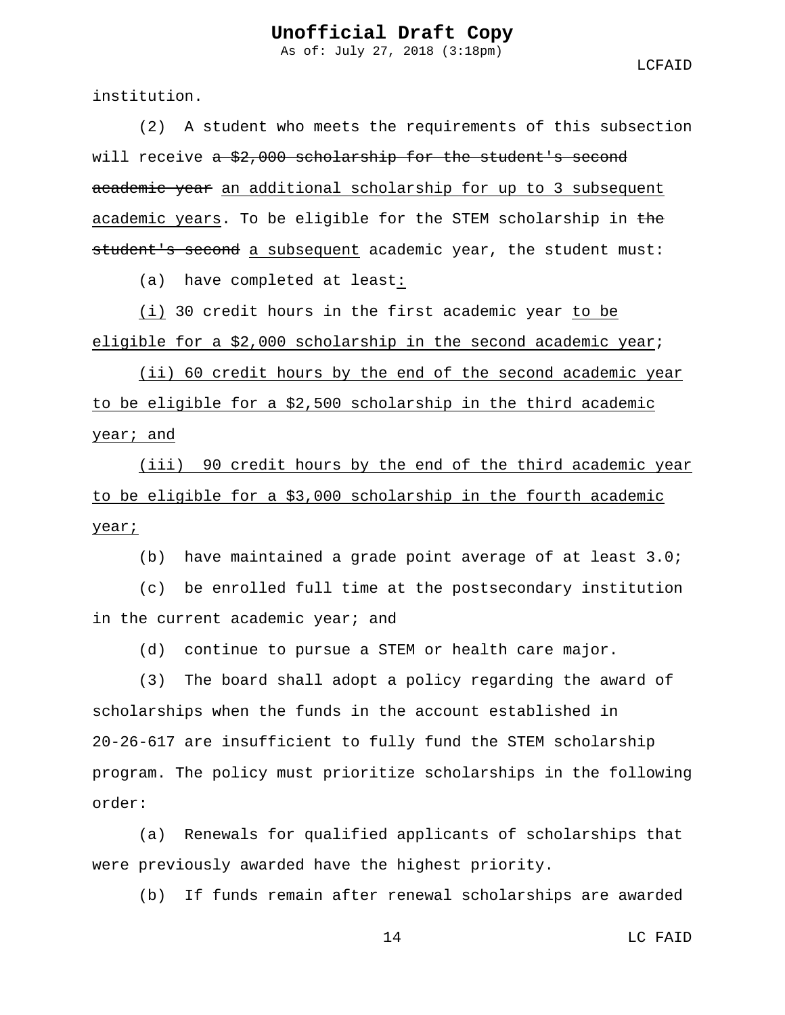As of: July 27, 2018 (3:18pm)

LCFAID

institution.

(2) A student who meets the requirements of this subsection will receive a \$2,000 scholarship for the student's second academic year an additional scholarship for up to 3 subsequent academic years. To be eligible for the STEM scholarship in the student's second a subsequent academic year, the student must:

(a) have completed at least:

(i) 30 credit hours in the first academic year to be eligible for a \$2,000 scholarship in the second academic year;

(ii) 60 credit hours by the end of the second academic year to be eligible for a \$2,500 scholarship in the third academic year; and

(iii) 90 credit hours by the end of the third academic year to be eligible for a \$3,000 scholarship in the fourth academic year;

(b) have maintained a grade point average of at least 3.0;

(c) be enrolled full time at the postsecondary institution in the current academic year; and

(d) continue to pursue a STEM or health care major.

(3) The board shall adopt a policy regarding the award of scholarships when the funds in the account established in 20-26-617 are insufficient to fully fund the STEM scholarship program. The policy must prioritize scholarships in the following order:

(a) Renewals for qualified applicants of scholarships that were previously awarded have the highest priority.

(b) If funds remain after renewal scholarships are awarded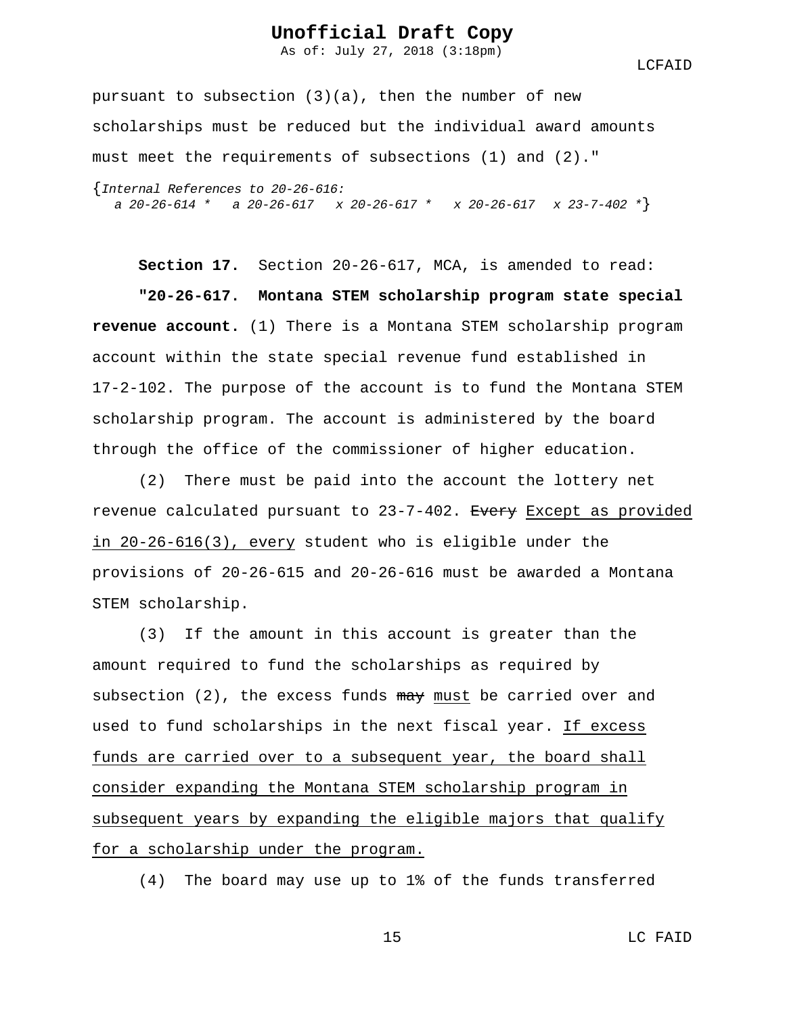As of: July 27, 2018 (3:18pm)

LCFAID

pursuant to subsection  $(3)(a)$ , then the number of new scholarships must be reduced but the individual award amounts must meet the requirements of subsections (1) and (2)."

{*Internal References to 20-26-616: a 20-26-614 \* a 20-26-617 x 20-26-617 \* x 20-26-617 x 23-7-402 \**}

**Section 17.** Section 20-26-617, MCA, is amended to read: **"20-26-617. Montana STEM scholarship program state special revenue account.** (1) There is a Montana STEM scholarship program account within the state special revenue fund established in 17-2-102. The purpose of the account is to fund the Montana STEM scholarship program. The account is administered by the board through the office of the commissioner of higher education.

(2) There must be paid into the account the lottery net revenue calculated pursuant to 23-7-402. Every Except as provided in 20-26-616(3), every student who is eligible under the provisions of 20-26-615 and 20-26-616 must be awarded a Montana STEM scholarship.

(3) If the amount in this account is greater than the amount required to fund the scholarships as required by subsection  $(2)$ , the excess funds  $\frac{m}{x}$  must be carried over and used to fund scholarships in the next fiscal year. If excess funds are carried over to a subsequent year, the board shall consider expanding the Montana STEM scholarship program in subsequent years by expanding the eligible majors that qualify for a scholarship under the program.

(4) The board may use up to 1% of the funds transferred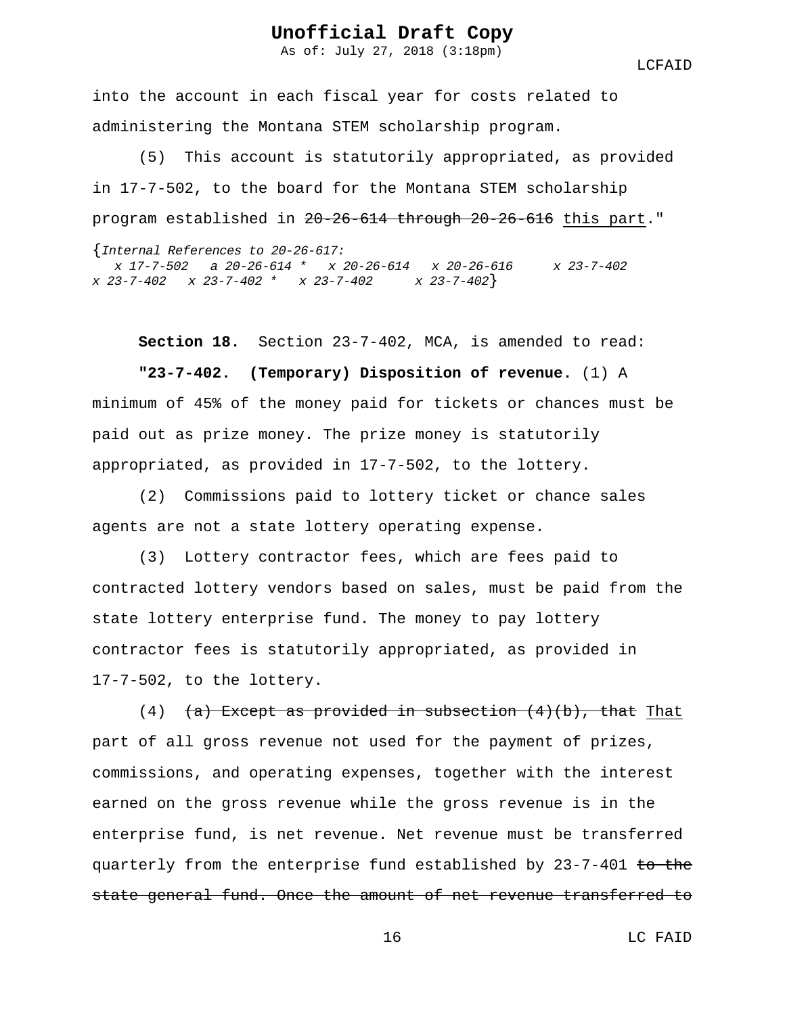As of: July 27, 2018 (3:18pm)

LCFAID

into the account in each fiscal year for costs related to administering the Montana STEM scholarship program.

(5) This account is statutorily appropriated, as provided in 17-7-502, to the board for the Montana STEM scholarship program established in 20-26-614 through 20-26-616 this part."

{*Internal References to 20-26-617: x 17-7-502 a 20-26-614 \* x 20-26-614 x 20-26-616 x 23-7-402 x 23-7-402 x 23-7-402 \* x 23-7-402 x 23-7-402*}

**Section 18.** Section 23-7-402, MCA, is amended to read: **"23-7-402. (Temporary) Disposition of revenue.** (1) A minimum of 45% of the money paid for tickets or chances must be paid out as prize money. The prize money is statutorily appropriated, as provided in 17-7-502, to the lottery.

(2) Commissions paid to lottery ticket or chance sales agents are not a state lottery operating expense.

(3) Lottery contractor fees, which are fees paid to contracted lottery vendors based on sales, must be paid from the state lottery enterprise fund. The money to pay lottery contractor fees is statutorily appropriated, as provided in 17-7-502, to the lottery.

(4)  $(a)$  Except as provided in subsection  $(4)(b)$ , that That part of all gross revenue not used for the payment of prizes, commissions, and operating expenses, together with the interest earned on the gross revenue while the gross revenue is in the enterprise fund, is net revenue. Net revenue must be transferred quarterly from the enterprise fund established by 23-7-401 to the state general fund. Once the amount of net revenue transferred to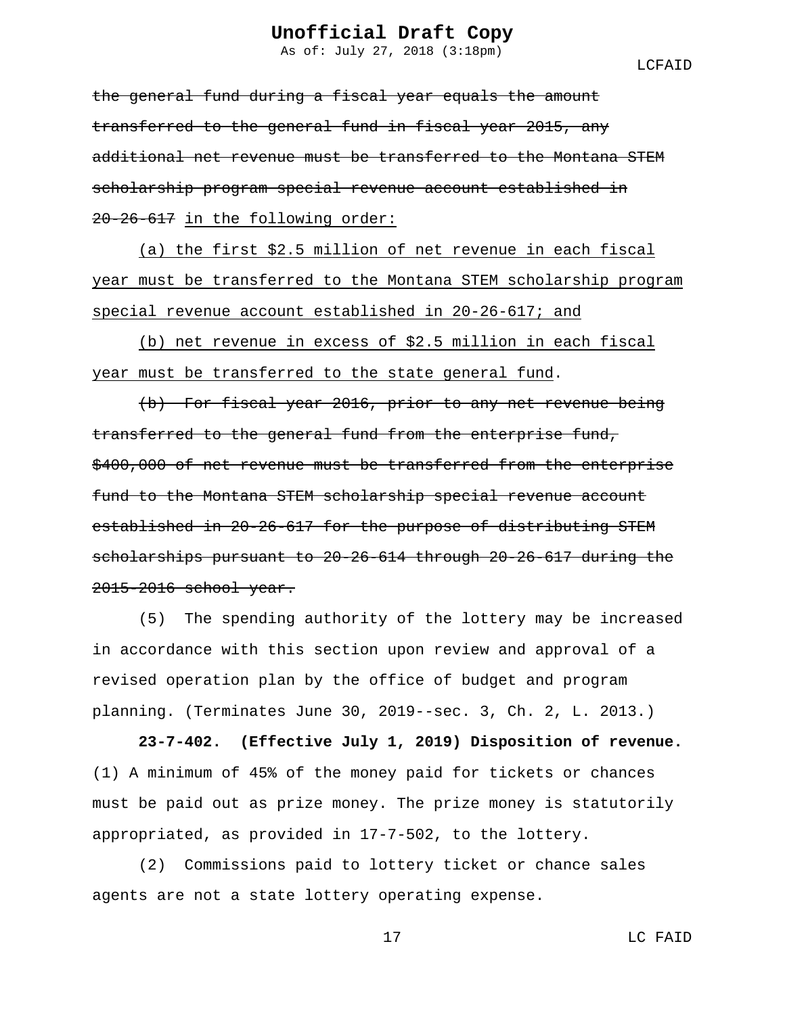As of: July 27, 2018 (3:18pm)

LCFAID

the general fund during a fiscal year equals the amount transferred to the general fund in fiscal year 2015, any additional net revenue must be transferred to the Montana STEM scholarship program special revenue account established in 20-26-617 in the following order:

(a) the first \$2.5 million of net revenue in each fiscal year must be transferred to the Montana STEM scholarship program special revenue account established in 20-26-617; and

(b) net revenue in excess of \$2.5 million in each fiscal year must be transferred to the state general fund.

(b) For fiscal year 2016, prior to any net revenue being transferred to the general fund from the enterprise fund, \$400,000 of net revenue must be transferred from the enterprise fund to the Montana STEM scholarship special revenue account established in 20-26-617 for the purpose of distributing STEM scholarships pursuant to 20-26-614 through 20-26-617 during the 2015-2016 school year.

(5) The spending authority of the lottery may be increased in accordance with this section upon review and approval of a revised operation plan by the office of budget and program planning. (Terminates June 30, 2019--sec. 3, Ch. 2, L. 2013.)

**23-7-402. (Effective July 1, 2019) Disposition of revenue.** (1) A minimum of 45% of the money paid for tickets or chances must be paid out as prize money. The prize money is statutorily appropriated, as provided in 17-7-502, to the lottery.

(2) Commissions paid to lottery ticket or chance sales agents are not a state lottery operating expense.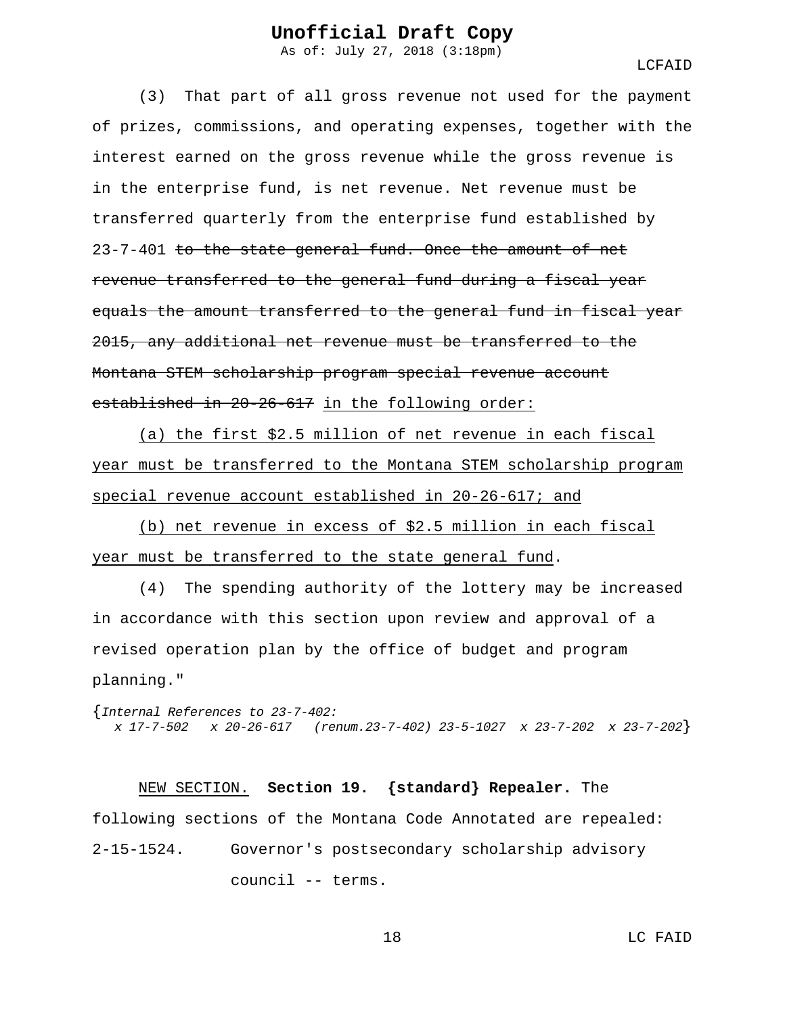As of: July 27, 2018 (3:18pm)

LCFAID

(3) That part of all gross revenue not used for the payment of prizes, commissions, and operating expenses, together with the interest earned on the gross revenue while the gross revenue is in the enterprise fund, is net revenue. Net revenue must be transferred quarterly from the enterprise fund established by 23-7-401 to the state general fund. Once the amount of net revenue transferred to the general fund during a fiscal year equals the amount transferred to the general fund in fiscal year 2015, any additional net revenue must be transferred to the Montana STEM scholarship program special revenue account established in 20-26-617 in the following order:

(a) the first \$2.5 million of net revenue in each fiscal year must be transferred to the Montana STEM scholarship program special revenue account established in 20-26-617; and

(b) net revenue in excess of \$2.5 million in each fiscal year must be transferred to the state general fund.

(4) The spending authority of the lottery may be increased in accordance with this section upon review and approval of a revised operation plan by the office of budget and program planning."

{*Internal References to 23-7-402: x 17-7-502 x 20-26-617 (renum.23-7-402) 23-5-1027 x 23-7-202 x 23-7-202*}

# NEW SECTION. **Section 19. {standard} Repealer.** The following sections of the Montana Code Annotated are repealed: 2-15-1524. Governor's postsecondary scholarship advisory council -- terms.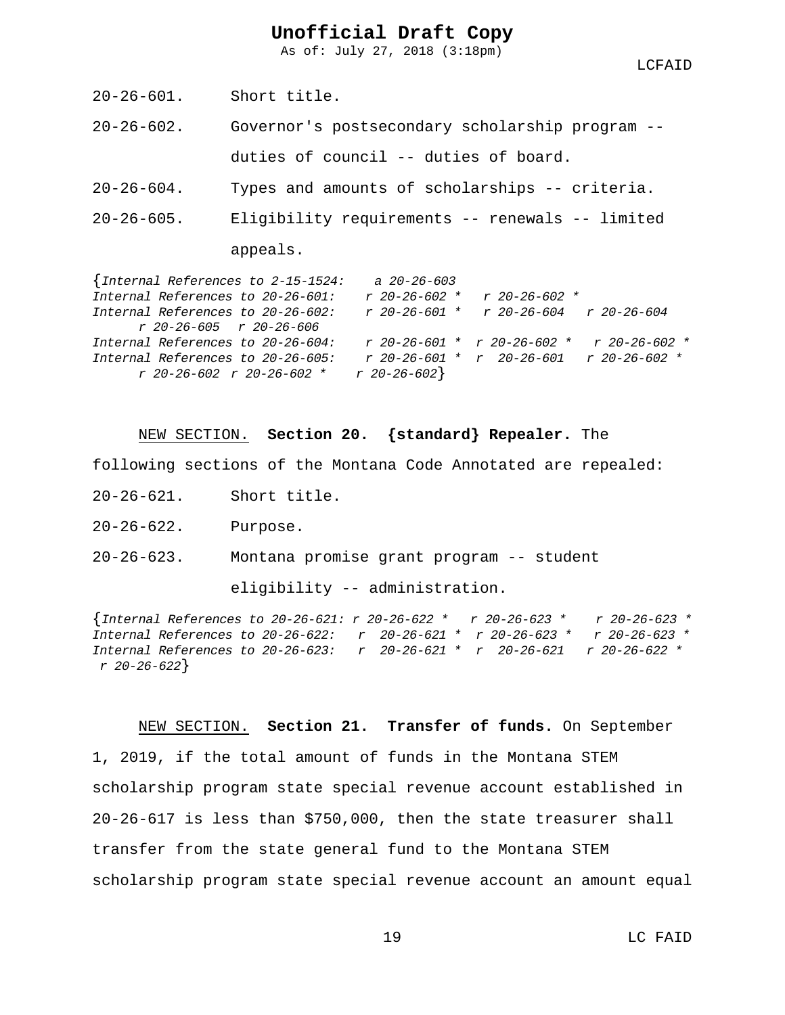As of: July 27, 2018 (3:18pm)

20-26-601. Short title.

20-26-602. Governor's postsecondary scholarship program - duties of council -- duties of board.

- 20-26-604. Types and amounts of scholarships -- criteria.
- 20-26-605. Eligibility requirements -- renewals -- limited

appeals.

| $\{Internal\ References\ to\ 2-15-1524\}.$ | $a \ 20 - 26 - 603$                     |                                             |                |
|--------------------------------------------|-----------------------------------------|---------------------------------------------|----------------|
| Internal References to 20-26-601:          | $r20-26-602$ *                          | $r20-26-602$ *                              |                |
| Internal References to 20-26-602:          |                                         | $r$ 20-26-601 * $r$ 20-26-604 $r$ 20-26-604 |                |
| $r$ 20-26-605 $r$ 20-26-606                |                                         |                                             |                |
| Internal References to 20-26-604:          | $r 20 - 26 - 601$ * $r 20 - 26 - 602$ * |                                             | $r20-26-602$ * |
| Internal References to 20-26-605:          | $r20-26-601$ * $r20-26-601$             |                                             | $r20-26-602$ * |
| $r$ 20-26-602 $r$ 20-26-602 *              | $r 20 - 26 - 602$                       |                                             |                |

NEW SECTION. **Section 20. {standard} Repealer.** The

following sections of the Montana Code Annotated are repealed:

- 20-26-621. Short title.
- 20-26-622. Purpose.

20-26-623. Montana promise grant program -- student

eligibility -- administration.

{*Internal References to 20-26-621: r 20-26-622 \* r 20-26-623 \* r 20-26-623 \* Internal References to 20-26-622: r 20-26-621 \* r 20-26-623 \* r 20-26-623 \* Internal References to 20-26-623: r 20-26-621 \* r 20-26-621 r 20-26-622 \* r 20-26-622*}

NEW SECTION. **Section 21. Transfer of funds.** On September 1, 2019, if the total amount of funds in the Montana STEM scholarship program state special revenue account established in 20-26-617 is less than \$750,000, then the state treasurer shall transfer from the state general fund to the Montana STEM scholarship program state special revenue account an amount equal

19 LC FAID